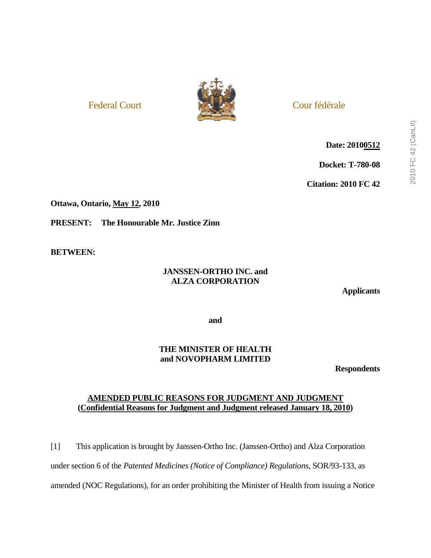

# Federal Court and the state of the Cour fédérale

**Date: 20100512**

**Docket: T-780-08** 

**Citation: 2010 FC 42** 

**Ottawa, Ontario, May 12, 2010** 

**PRESENT: The Honourable Mr. Justice Zinn** 

**BETWEEN:** 

# **JANSSEN-ORTHO INC. and ALZA CORPORATION**

**Applicants** 

**and** 

# **THE MINISTER OF HEALTH and NOVOPHARM LIMITED**

**Respondents** 

# **AMENDED PUBLIC REASONS FOR JUDGMENT AND JUDGMENT (Confidential Reasons for Judgment and Judgment released January 18, 2010)**

[1] This application is brought by Janssen-Ortho Inc. (Janssen-Ortho) and Alza Corporation under section 6 of the *Patented Medicines (Notice of Compliance) Regulations,* SOR/93-133, as amended (NOC Regulations), for an order prohibiting the Minister of Health from issuing a Notice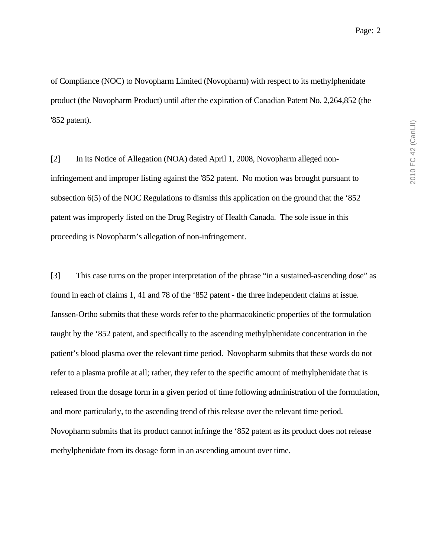of Compliance (NOC) to Novopharm Limited (Novopharm) with respect to its methylphenidate product (the Novopharm Product) until after the expiration of Canadian Patent No. 2,264,852 (the '852 patent).

[2] In its Notice of Allegation (NOA) dated April 1, 2008, Novopharm alleged noninfringement and improper listing against the '852 patent. No motion was brought pursuant to subsection 6(5) of the NOC Regulations to dismiss this application on the ground that the '852 patent was improperly listed on the Drug Registry of Health Canada. The sole issue in this proceeding is Novopharm's allegation of non-infringement.

[3] This case turns on the proper interpretation of the phrase "in a sustained-ascending dose" as found in each of claims 1, 41 and 78 of the '852 patent - the three independent claims at issue. Janssen-Ortho submits that these words refer to the pharmacokinetic properties of the formulation taught by the '852 patent, and specifically to the ascending methylphenidate concentration in the patient's blood plasma over the relevant time period. Novopharm submits that these words do not refer to a plasma profile at all; rather, they refer to the specific amount of methylphenidate that is released from the dosage form in a given period of time following administration of the formulation, and more particularly, to the ascending trend of this release over the relevant time period. Novopharm submits that its product cannot infringe the '852 patent as its product does not release methylphenidate from its dosage form in an ascending amount over time.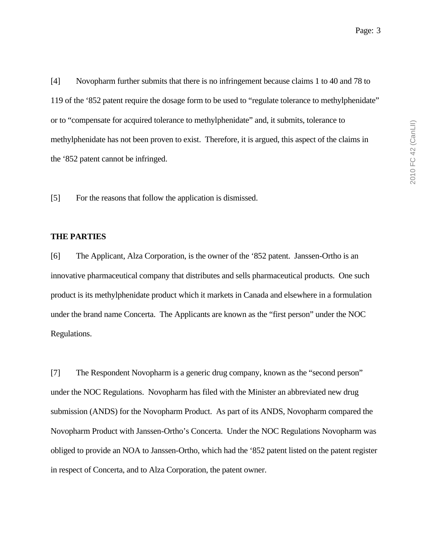[4] Novopharm further submits that there is no infringement because claims 1 to 40 and 78 to 119 of the '852 patent require the dosage form to be used to "regulate tolerance to methylphenidate" or to "compensate for acquired tolerance to methylphenidate" and, it submits, tolerance to methylphenidate has not been proven to exist. Therefore, it is argued, this aspect of the claims in the '852 patent cannot be infringed.

[5] For the reasons that follow the application is dismissed.

#### **THE PARTIES**

[6] The Applicant, Alza Corporation, is the owner of the '852 patent. Janssen-Ortho is an innovative pharmaceutical company that distributes and sells pharmaceutical products. One such product is its methylphenidate product which it markets in Canada and elsewhere in a formulation under the brand name Concerta. The Applicants are known as the "first person" under the NOC Regulations.

[7] The Respondent Novopharm is a generic drug company, known as the "second person" under the NOC Regulations. Novopharm has filed with the Minister an abbreviated new drug submission (ANDS) for the Novopharm Product. As part of its ANDS, Novopharm compared the Novopharm Product with Janssen-Ortho's Concerta. Under the NOC Regulations Novopharm was obliged to provide an NOA to Janssen-Ortho, which had the '852 patent listed on the patent register in respect of Concerta, and to Alza Corporation, the patent owner.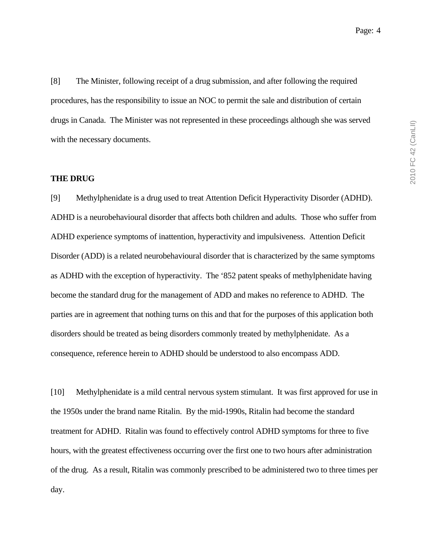[8] The Minister, following receipt of a drug submission, and after following the required procedures, has the responsibility to issue an NOC to permit the sale and distribution of certain drugs in Canada. The Minister was not represented in these proceedings although she was served with the necessary documents.

## **THE DRUG**

[9] Methylphenidate is a drug used to treat Attention Deficit Hyperactivity Disorder (ADHD). ADHD is a neurobehavioural disorder that affects both children and adults. Those who suffer from ADHD experience symptoms of inattention, hyperactivity and impulsiveness. Attention Deficit Disorder (ADD) is a related neurobehavioural disorder that is characterized by the same symptoms as ADHD with the exception of hyperactivity. The '852 patent speaks of methylphenidate having become the standard drug for the management of ADD and makes no reference to ADHD. The parties are in agreement that nothing turns on this and that for the purposes of this application both disorders should be treated as being disorders commonly treated by methylphenidate. As a consequence, reference herein to ADHD should be understood to also encompass ADD.

[10] Methylphenidate is a mild central nervous system stimulant. It was first approved for use in the 1950s under the brand name Ritalin. By the mid-1990s, Ritalin had become the standard treatment for ADHD. Ritalin was found to effectively control ADHD symptoms for three to five hours, with the greatest effectiveness occurring over the first one to two hours after administration of the drug. As a result, Ritalin was commonly prescribed to be administered two to three times per day.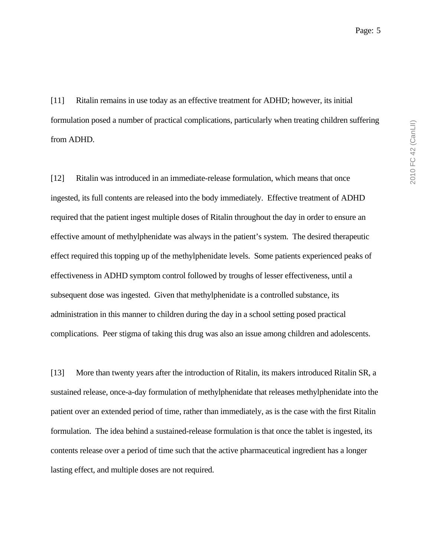[11] Ritalin remains in use today as an effective treatment for ADHD; however, its initial formulation posed a number of practical complications, particularly when treating children suffering from ADHD.

[12] Ritalin was introduced in an immediate-release formulation, which means that once ingested, its full contents are released into the body immediately. Effective treatment of ADHD required that the patient ingest multiple doses of Ritalin throughout the day in order to ensure an effective amount of methylphenidate was always in the patient's system. The desired therapeutic effect required this topping up of the methylphenidate levels. Some patients experienced peaks of effectiveness in ADHD symptom control followed by troughs of lesser effectiveness, until a subsequent dose was ingested. Given that methylphenidate is a controlled substance, its administration in this manner to children during the day in a school setting posed practical complications. Peer stigma of taking this drug was also an issue among children and adolescents.

[13] More than twenty years after the introduction of Ritalin, its makers introduced Ritalin SR, a sustained release, once-a-day formulation of methylphenidate that releases methylphenidate into the patient over an extended period of time, rather than immediately, as is the case with the first Ritalin formulation. The idea behind a sustained-release formulation is that once the tablet is ingested, its contents release over a period of time such that the active pharmaceutical ingredient has a longer lasting effect, and multiple doses are not required.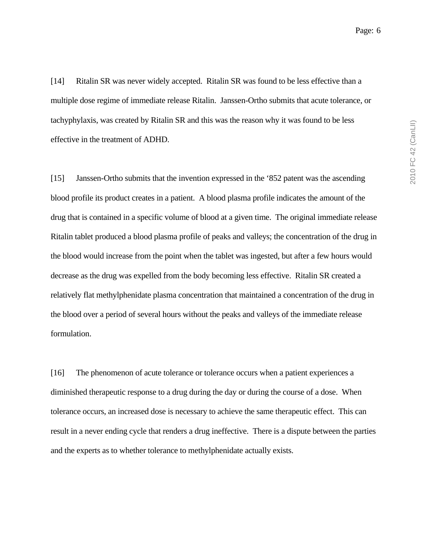[14] Ritalin SR was never widely accepted. Ritalin SR was found to be less effective than a multiple dose regime of immediate release Ritalin. Janssen-Ortho submits that acute tolerance, or tachyphylaxis, was created by Ritalin SR and this was the reason why it was found to be less effective in the treatment of ADHD.

[15] Janssen-Ortho submits that the invention expressed in the '852 patent was the ascending blood profile its product creates in a patient. A blood plasma profile indicates the amount of the drug that is contained in a specific volume of blood at a given time. The original immediate release Ritalin tablet produced a blood plasma profile of peaks and valleys; the concentration of the drug in the blood would increase from the point when the tablet was ingested, but after a few hours would decrease as the drug was expelled from the body becoming less effective. Ritalin SR created a relatively flat methylphenidate plasma concentration that maintained a concentration of the drug in the blood over a period of several hours without the peaks and valleys of the immediate release formulation.

[16] The phenomenon of acute tolerance or tolerance occurs when a patient experiences a diminished therapeutic response to a drug during the day or during the course of a dose. When tolerance occurs, an increased dose is necessary to achieve the same therapeutic effect. This can result in a never ending cycle that renders a drug ineffective. There is a dispute between the parties and the experts as to whether tolerance to methylphenidate actually exists.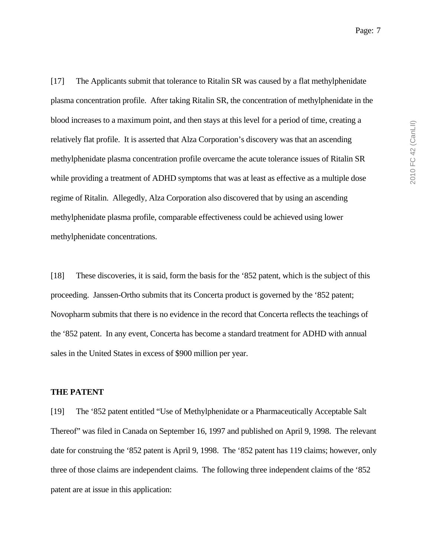[17] The Applicants submit that tolerance to Ritalin SR was caused by a flat methylphenidate plasma concentration profile. After taking Ritalin SR, the concentration of methylphenidate in the blood increases to a maximum point, and then stays at this level for a period of time, creating a relatively flat profile. It is asserted that Alza Corporation's discovery was that an ascending methylphenidate plasma concentration profile overcame the acute tolerance issues of Ritalin SR while providing a treatment of ADHD symptoms that was at least as effective as a multiple dose regime of Ritalin. Allegedly, Alza Corporation also discovered that by using an ascending methylphenidate plasma profile, comparable effectiveness could be achieved using lower methylphenidate concentrations.

[18] These discoveries, it is said, form the basis for the '852 patent, which is the subject of this proceeding. Janssen-Ortho submits that its Concerta product is governed by the '852 patent; Novopharm submits that there is no evidence in the record that Concerta reflects the teachings of the '852 patent. In any event, Concerta has become a standard treatment for ADHD with annual sales in the United States in excess of \$900 million per year.

#### **THE PATENT**

[19] The '852 patent entitled "Use of Methylphenidate or a Pharmaceutically Acceptable Salt Thereof" was filed in Canada on September 16, 1997 and published on April 9, 1998. The relevant date for construing the '852 patent is April 9, 1998. The '852 patent has 119 claims; however, only three of those claims are independent claims. The following three independent claims of the '852 patent are at issue in this application: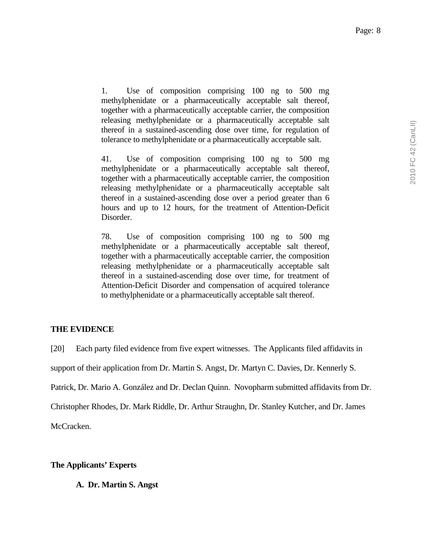1. Use of composition comprising 100 ng to 500 mg methylphenidate or a pharmaceutically acceptable salt thereof, together with a pharmaceutically acceptable carrier, the composition releasing methylphenidate or a pharmaceutically acceptable salt thereof in a sustained-ascending dose over time, for regulation of tolerance to methylphenidate or a pharmaceutically acceptable salt.

41. Use of composition comprising 100 ng to 500 mg methylphenidate or a pharmaceutically acceptable salt thereof, together with a pharmaceutically acceptable carrier, the composition releasing methylphenidate or a pharmaceutically acceptable salt thereof in a sustained-ascending dose over a period greater than 6 hours and up to 12 hours, for the treatment of Attention-Deficit Disorder.

78. Use of composition comprising 100 ng to 500 mg methylphenidate or a pharmaceutically acceptable salt thereof, together with a pharmaceutically acceptable carrier, the composition releasing methylphenidate or a pharmaceutically acceptable salt thereof in a sustained-ascending dose over time, for treatment of Attention-Deficit Disorder and compensation of acquired tolerance to methylphenidate or a pharmaceutically acceptable salt thereof.

# **THE EVIDENCE**

[20] Each party filed evidence from five expert witnesses. The Applicants filed affidavits in support of their application from Dr. Martin S. Angst, Dr. Martyn C. Davies, Dr. Kennerly S. Patrick, Dr. Mario A. González and Dr. Declan Quinn. Novopharm submitted affidavits from Dr. Christopher Rhodes, Dr. Mark Riddle, Dr. Arthur Straughn, Dr. Stanley Kutcher, and Dr. James

McCracken.

# **The Applicants' Experts**

**A. Dr. Martin S. Angst**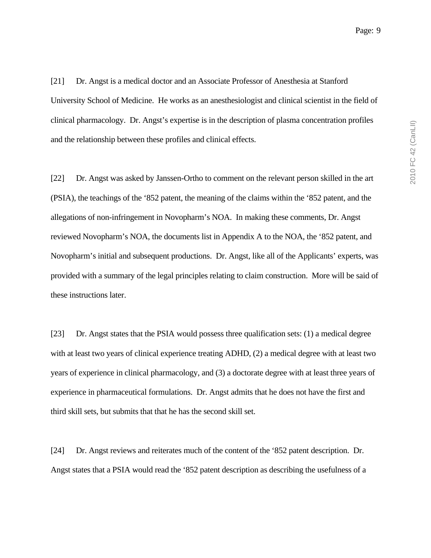[21] Dr. Angst is a medical doctor and an Associate Professor of Anesthesia at Stanford University School of Medicine. He works as an anesthesiologist and clinical scientist in the field of clinical pharmacology. Dr. Angst's expertise is in the description of plasma concentration profiles and the relationship between these profiles and clinical effects.

[22] Dr. Angst was asked by Janssen-Ortho to comment on the relevant person skilled in the art (PSIA), the teachings of the '852 patent, the meaning of the claims within the '852 patent, and the allegations of non-infringement in Novopharm's NOA. In making these comments, Dr. Angst reviewed Novopharm's NOA, the documents list in Appendix A to the NOA, the '852 patent, and Novopharm's initial and subsequent productions. Dr. Angst, like all of the Applicants' experts, was provided with a summary of the legal principles relating to claim construction. More will be said of these instructions later.

[23] Dr. Angst states that the PSIA would possess three qualification sets: (1) a medical degree with at least two years of clinical experience treating ADHD, (2) a medical degree with at least two years of experience in clinical pharmacology, and (3) a doctorate degree with at least three years of experience in pharmaceutical formulations. Dr. Angst admits that he does not have the first and third skill sets, but submits that that he has the second skill set.

[24] Dr. Angst reviews and reiterates much of the content of the '852 patent description. Dr. Angst states that a PSIA would read the '852 patent description as describing the usefulness of a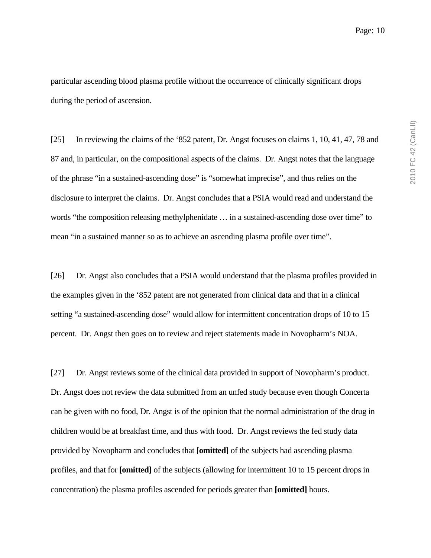particular ascending blood plasma profile without the occurrence of clinically significant drops during the period of ascension.

[25] In reviewing the claims of the '852 patent, Dr. Angst focuses on claims 1, 10, 41, 47, 78 and 87 and, in particular, on the compositional aspects of the claims. Dr. Angst notes that the language of the phrase "in a sustained-ascending dose" is "somewhat imprecise", and thus relies on the disclosure to interpret the claims. Dr. Angst concludes that a PSIA would read and understand the words "the composition releasing methylphenidate … in a sustained-ascending dose over time" to mean "in a sustained manner so as to achieve an ascending plasma profile over time".

[26] Dr. Angst also concludes that a PSIA would understand that the plasma profiles provided in the examples given in the '852 patent are not generated from clinical data and that in a clinical setting "a sustained-ascending dose" would allow for intermittent concentration drops of 10 to 15 percent. Dr. Angst then goes on to review and reject statements made in Novopharm's NOA.

[27] Dr. Angst reviews some of the clinical data provided in support of Novopharm's product. Dr. Angst does not review the data submitted from an unfed study because even though Concerta can be given with no food, Dr. Angst is of the opinion that the normal administration of the drug in children would be at breakfast time, and thus with food. Dr. Angst reviews the fed study data provided by Novopharm and concludes that **[omitted]** of the subjects had ascending plasma profiles, and that for **[omitted]** of the subjects (allowing for intermittent 10 to 15 percent drops in concentration) the plasma profiles ascended for periods greater than **[omitted]** hours.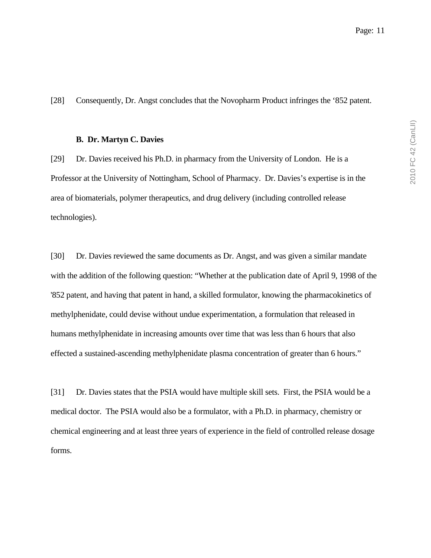[28] Consequently, Dr. Angst concludes that the Novopharm Product infringes the '852 patent.

#### **B. Dr. Martyn C. Davies**

[29] Dr. Davies received his Ph.D. in pharmacy from the University of London. He is a Professor at the University of Nottingham, School of Pharmacy. Dr. Davies's expertise is in the area of biomaterials, polymer therapeutics, and drug delivery (including controlled release technologies).

[30] Dr. Davies reviewed the same documents as Dr. Angst, and was given a similar mandate with the addition of the following question: "Whether at the publication date of April 9, 1998 of the '852 patent, and having that patent in hand, a skilled formulator, knowing the pharmacokinetics of methylphenidate, could devise without undue experimentation, a formulation that released in humans methylphenidate in increasing amounts over time that was less than 6 hours that also effected a sustained-ascending methylphenidate plasma concentration of greater than 6 hours."

[31] Dr. Davies states that the PSIA would have multiple skill sets. First, the PSIA would be a medical doctor. The PSIA would also be a formulator, with a Ph.D. in pharmacy, chemistry or chemical engineering and at least three years of experience in the field of controlled release dosage forms.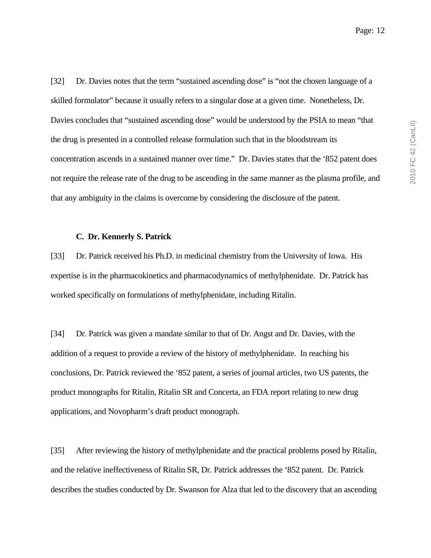[32] Dr. Davies notes that the term "sustained ascending dose" is "not the chosen language of a skilled formulator" because it usually refers to a singular dose at a given time. Nonetheless, Dr. Davies concludes that "sustained ascending dose" would be understood by the PSIA to mean "that the drug is presented in a controlled release formulation such that in the bloodstream its concentration ascends in a sustained manner over time." Dr. Davies states that the '852 patent does not require the release rate of the drug to be ascending in the same manner as the plasma profile, and that any ambiguity in the claims is overcome by considering the disclosure of the patent.

#### **C. Dr. Kennerly S. Patrick**

[33] Dr. Patrick received his Ph.D. in medicinal chemistry from the University of Iowa. His expertise is in the pharmacokinetics and pharmacodynamics of methylphenidate. Dr. Patrick has worked specifically on formulations of methylphenidate, including Ritalin.

[34] Dr. Patrick was given a mandate similar to that of Dr. Angst and Dr. Davies, with the addition of a request to provide a review of the history of methylphenidate. In reaching his conclusions, Dr. Patrick reviewed the '852 patent, a series of journal articles, two US patents, the product monographs for Ritalin, Ritalin SR and Concerta, an FDA report relating to new drug applications, and Novopharm's draft product monograph.

[35] After reviewing the history of methylphenidate and the practical problems posed by Ritalin, and the relative ineffectiveness of Ritalin SR, Dr. Patrick addresses the '852 patent. Dr. Patrick describes the studies conducted by Dr. Swanson for Alza that led to the discovery that an ascending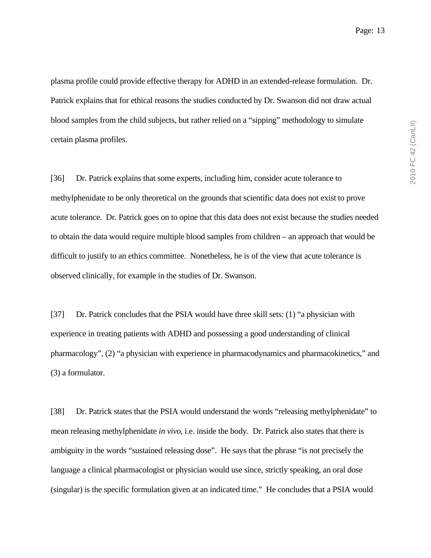plasma profile could provide effective therapy for ADHD in an extended-release formulation. Dr. Patrick explains that for ethical reasons the studies conducted by Dr. Swanson did not draw actual blood samples from the child subjects, but rather relied on a "sipping" methodology to simulate certain plasma profiles.

[36] Dr. Patrick explains that some experts, including him, consider acute tolerance to methylphenidate to be only theoretical on the grounds that scientific data does not exist to prove acute tolerance. Dr. Patrick goes on to opine that this data does not exist because the studies needed to obtain the data would require multiple blood samples from children – an approach that would be difficult to justify to an ethics committee. Nonetheless, he is of the view that acute tolerance is observed clinically, for example in the studies of Dr. Swanson.

[37] Dr. Patrick concludes that the PSIA would have three skill sets: (1) "a physician with experience in treating patients with ADHD and possessing a good understanding of clinical pharmacology", (2) "a physician with experience in pharmacodynamics and pharmacokinetics," and (3) a formulator.

[38] Dr. Patrick states that the PSIA would understand the words "releasing methylphenidate" to mean releasing methylphenidate *in vivo*, i.e. inside the body. Dr. Patrick also states that there is ambiguity in the words "sustained releasing dose". He says that the phrase "is not precisely the language a clinical pharmacologist or physician would use since, strictly speaking, an oral dose (singular) is the specific formulation given at an indicated time." He concludes that a PSIA would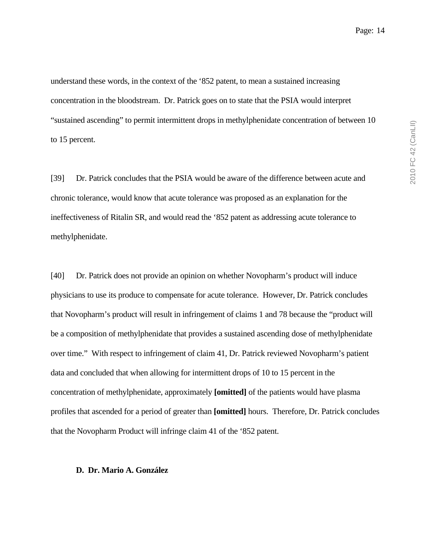understand these words, in the context of the '852 patent, to mean a sustained increasing concentration in the bloodstream. Dr. Patrick goes on to state that the PSIA would interpret "sustained ascending" to permit intermittent drops in methylphenidate concentration of between 10 to 15 percent.

[39] Dr. Patrick concludes that the PSIA would be aware of the difference between acute and chronic tolerance, would know that acute tolerance was proposed as an explanation for the ineffectiveness of Ritalin SR, and would read the '852 patent as addressing acute tolerance to methylphenidate.

[40] Dr. Patrick does not provide an opinion on whether Novopharm's product will induce physicians to use its produce to compensate for acute tolerance. However, Dr. Patrick concludes that Novopharm's product will result in infringement of claims 1 and 78 because the "product will be a composition of methylphenidate that provides a sustained ascending dose of methylphenidate over time." With respect to infringement of claim 41, Dr. Patrick reviewed Novopharm's patient data and concluded that when allowing for intermittent drops of 10 to 15 percent in the concentration of methylphenidate, approximately **[omitted]** of the patients would have plasma profiles that ascended for a period of greater than **[omitted]** hours. Therefore, Dr. Patrick concludes that the Novopharm Product will infringe claim 41 of the '852 patent.

#### **D. Dr. Mario A. González**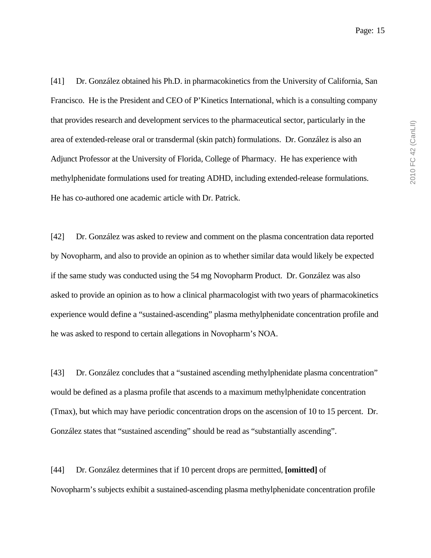[41] Dr. González obtained his Ph.D. in pharmacokinetics from the University of California, San Francisco. He is the President and CEO of P'Kinetics International, which is a consulting company that provides research and development services to the pharmaceutical sector, particularly in the area of extended-release oral or transdermal (skin patch) formulations. Dr. González is also an Adjunct Professor at the University of Florida, College of Pharmacy. He has experience with methylphenidate formulations used for treating ADHD, including extended-release formulations. He has co-authored one academic article with Dr. Patrick.

[42] Dr. González was asked to review and comment on the plasma concentration data reported by Novopharm, and also to provide an opinion as to whether similar data would likely be expected if the same study was conducted using the 54 mg Novopharm Product. Dr. González was also asked to provide an opinion as to how a clinical pharmacologist with two years of pharmacokinetics experience would define a "sustained-ascending" plasma methylphenidate concentration profile and he was asked to respond to certain allegations in Novopharm's NOA.

[43] Dr. González concludes that a "sustained ascending methylphenidate plasma concentration" would be defined as a plasma profile that ascends to a maximum methylphenidate concentration (Tmax), but which may have periodic concentration drops on the ascension of 10 to 15 percent. Dr. González states that "sustained ascending" should be read as "substantially ascending".

[44] Dr. González determines that if 10 percent drops are permitted, **[omitted]** of Novopharm's subjects exhibit a sustained-ascending plasma methylphenidate concentration profile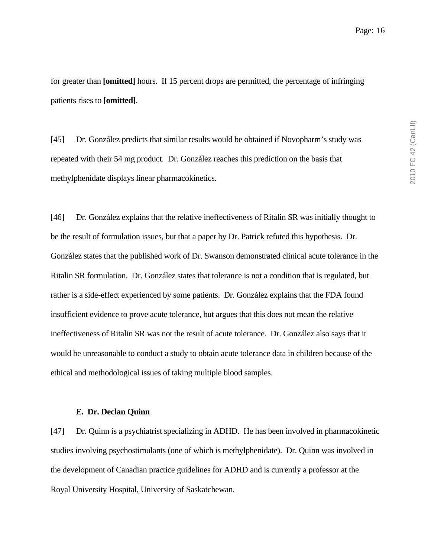for greater than **[omitted]** hours. If 15 percent drops are permitted, the percentage of infringing patients rises to **[omitted]**.

[45] Dr. González predicts that similar results would be obtained if Novopharm's study was repeated with their 54 mg product. Dr. González reaches this prediction on the basis that methylphenidate displays linear pharmacokinetics.

[46] Dr. González explains that the relative ineffectiveness of Ritalin SR was initially thought to be the result of formulation issues, but that a paper by Dr. Patrick refuted this hypothesis. Dr. González states that the published work of Dr. Swanson demonstrated clinical acute tolerance in the Ritalin SR formulation. Dr. González states that tolerance is not a condition that is regulated, but rather is a side-effect experienced by some patients. Dr. González explains that the FDA found insufficient evidence to prove acute tolerance, but argues that this does not mean the relative ineffectiveness of Ritalin SR was not the result of acute tolerance. Dr. González also says that it would be unreasonable to conduct a study to obtain acute tolerance data in children because of the ethical and methodological issues of taking multiple blood samples.

#### **E. Dr. Declan Quinn**

[47] Dr. Quinn is a psychiatrist specializing in ADHD. He has been involved in pharmacokinetic studies involving psychostimulants (one of which is methylphenidate). Dr. Quinn was involved in the development of Canadian practice guidelines for ADHD and is currently a professor at the Royal University Hospital, University of Saskatchewan.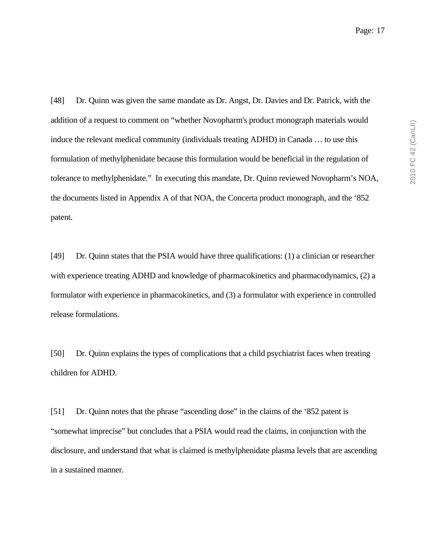[48] Dr. Quinn was given the same mandate as Dr. Angst, Dr. Davies and Dr. Patrick, with the addition of a request to comment on "whether Novopharm's product monograph materials would induce the relevant medical community (individuals treating ADHD) in Canada … to use this formulation of methylphenidate because this formulation would be beneficial in the regulation of tolerance to methylphenidate." In executing this mandate, Dr. Quinn reviewed Novopharm's NOA, the documents listed in Appendix A of that NOA, the Concerta product monograph, and the '852 patent.

[49] Dr. Quinn states that the PSIA would have three qualifications: (1) a clinician or researcher with experience treating ADHD and knowledge of pharmacokinetics and pharmacodynamics, (2) a formulator with experience in pharmacokinetics, and (3) a formulator with experience in controlled release formulations.

[50] Dr. Quinn explains the types of complications that a child psychiatrist faces when treating children for ADHD.

[51] Dr. Quinn notes that the phrase "ascending dose" in the claims of the '852 patent is "somewhat imprecise" but concludes that a PSIA would read the claims, in conjunction with the disclosure, and understand that what is claimed is methylphenidate plasma levels that are ascending in a sustained manner.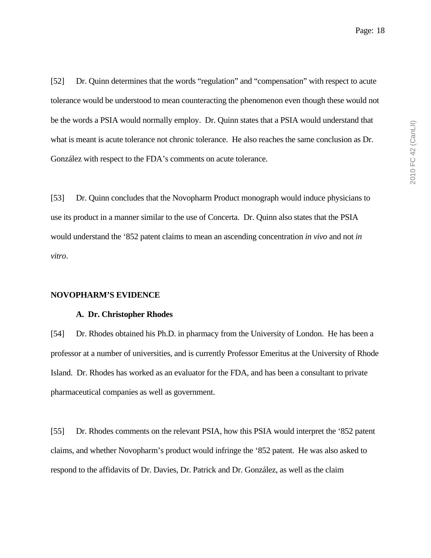[52] Dr. Quinn determines that the words "regulation" and "compensation" with respect to acute tolerance would be understood to mean counteracting the phenomenon even though these would not be the words a PSIA would normally employ. Dr. Quinn states that a PSIA would understand that what is meant is acute tolerance not chronic tolerance. He also reaches the same conclusion as Dr. González with respect to the FDA's comments on acute tolerance.

[53] Dr. Quinn concludes that the Novopharm Product monograph would induce physicians to use its product in a manner similar to the use of Concerta. Dr. Quinn also states that the PSIA would understand the '852 patent claims to mean an ascending concentration *in vivo* and not *in vitro*.

#### **NOVOPHARM'S EVIDENCE**

#### **A. Dr. Christopher Rhodes**

[54] Dr. Rhodes obtained his Ph.D. in pharmacy from the University of London. He has been a professor at a number of universities, and is currently Professor Emeritus at the University of Rhode Island. Dr. Rhodes has worked as an evaluator for the FDA, and has been a consultant to private pharmaceutical companies as well as government.

[55] Dr. Rhodes comments on the relevant PSIA, how this PSIA would interpret the '852 patent claims, and whether Novopharm's product would infringe the '852 patent. He was also asked to respond to the affidavits of Dr. Davies, Dr. Patrick and Dr. González, as well as the claim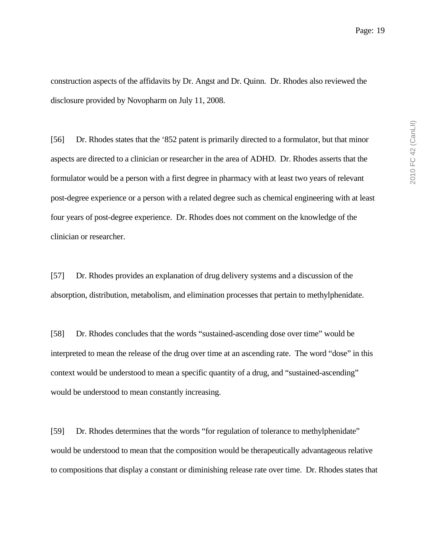construction aspects of the affidavits by Dr. Angst and Dr. Quinn. Dr. Rhodes also reviewed the disclosure provided by Novopharm on July 11, 2008.

[56] Dr. Rhodes states that the '852 patent is primarily directed to a formulator, but that minor aspects are directed to a clinician or researcher in the area of ADHD. Dr. Rhodes asserts that the formulator would be a person with a first degree in pharmacy with at least two years of relevant post-degree experience or a person with a related degree such as chemical engineering with at least four years of post-degree experience. Dr. Rhodes does not comment on the knowledge of the clinician or researcher.

[57] Dr. Rhodes provides an explanation of drug delivery systems and a discussion of the absorption, distribution, metabolism, and elimination processes that pertain to methylphenidate.

[58] Dr. Rhodes concludes that the words "sustained-ascending dose over time" would be interpreted to mean the release of the drug over time at an ascending rate. The word "dose" in this context would be understood to mean a specific quantity of a drug, and "sustained-ascending" would be understood to mean constantly increasing.

[59] Dr. Rhodes determines that the words "for regulation of tolerance to methylphenidate" would be understood to mean that the composition would be therapeutically advantageous relative to compositions that display a constant or diminishing release rate over time. Dr. Rhodes states that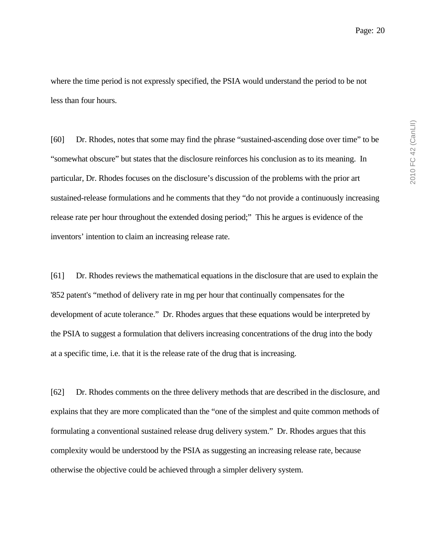where the time period is not expressly specified, the PSIA would understand the period to be not less than four hours.

[60] Dr. Rhodes, notes that some may find the phrase "sustained-ascending dose over time" to be "somewhat obscure" but states that the disclosure reinforces his conclusion as to its meaning. In particular, Dr. Rhodes focuses on the disclosure's discussion of the problems with the prior art sustained-release formulations and he comments that they "do not provide a continuously increasing release rate per hour throughout the extended dosing period;" This he argues is evidence of the inventors' intention to claim an increasing release rate.

[61] Dr. Rhodes reviews the mathematical equations in the disclosure that are used to explain the '852 patent's "method of delivery rate in mg per hour that continually compensates for the development of acute tolerance." Dr. Rhodes argues that these equations would be interpreted by the PSIA to suggest a formulation that delivers increasing concentrations of the drug into the body at a specific time, i.e. that it is the release rate of the drug that is increasing.

[62] Dr. Rhodes comments on the three delivery methods that are described in the disclosure, and explains that they are more complicated than the "one of the simplest and quite common methods of formulating a conventional sustained release drug delivery system." Dr. Rhodes argues that this complexity would be understood by the PSIA as suggesting an increasing release rate, because otherwise the objective could be achieved through a simpler delivery system.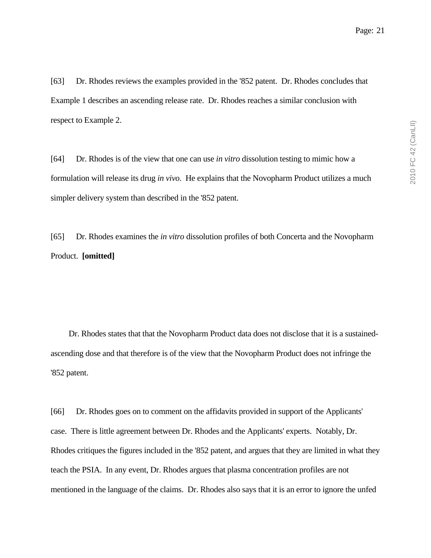[63] Dr. Rhodes reviews the examples provided in the '852 patent. Dr. Rhodes concludes that Example 1 describes an ascending release rate. Dr. Rhodes reaches a similar conclusion with respect to Example 2.

[64] Dr. Rhodes is of the view that one can use *in vitro* dissolution testing to mimic how a formulation will release its drug *in vivo*. He explains that the Novopharm Product utilizes a much simpler delivery system than described in the '852 patent.

[65] Dr. Rhodes examines the *in vitro* dissolution profiles of both Concerta and the Novopharm Product. **[omitted]**

 Dr. Rhodes states that that the Novopharm Product data does not disclose that it is a sustainedascending dose and that therefore is of the view that the Novopharm Product does not infringe the '852 patent.

[66] Dr. Rhodes goes on to comment on the affidavits provided in support of the Applicants' case. There is little agreement between Dr. Rhodes and the Applicants' experts. Notably, Dr. Rhodes critiques the figures included in the '852 patent, and argues that they are limited in what they teach the PSIA. In any event, Dr. Rhodes argues that plasma concentration profiles are not mentioned in the language of the claims. Dr. Rhodes also says that it is an error to ignore the unfed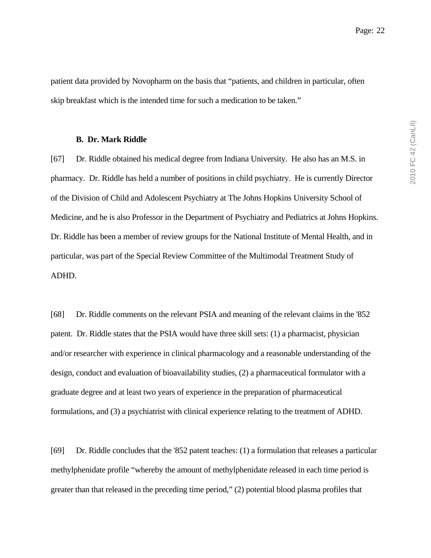patient data provided by Novopharm on the basis that "patients, and children in particular, often skip breakfast which is the intended time for such a medication to be taken."

#### **B. Dr. Mark Riddle**

[67] Dr. Riddle obtained his medical degree from Indiana University. He also has an M.S. in pharmacy. Dr. Riddle has held a number of positions in child psychiatry. He is currently Director of the Division of Child and Adolescent Psychiatry at The Johns Hopkins University School of Medicine, and he is also Professor in the Department of Psychiatry and Pediatrics at Johns Hopkins. Dr. Riddle has been a member of review groups for the National Institute of Mental Health, and in particular, was part of the Special Review Committee of the Multimodal Treatment Study of ADHD.

[68] Dr. Riddle comments on the relevant PSIA and meaning of the relevant claims in the '852 patent. Dr. Riddle states that the PSIA would have three skill sets: (1) a pharmacist, physician and/or researcher with experience in clinical pharmacology and a reasonable understanding of the design, conduct and evaluation of bioavailability studies, (2) a pharmaceutical formulator with a graduate degree and at least two years of experience in the preparation of pharmaceutical formulations, and (3) a psychiatrist with clinical experience relating to the treatment of ADHD.

[69] Dr. Riddle concludes that the '852 patent teaches: (1) a formulation that releases a particular methylphenidate profile "whereby the amount of methylphenidate released in each time period is greater than that released in the preceding time period," (2) potential blood plasma profiles that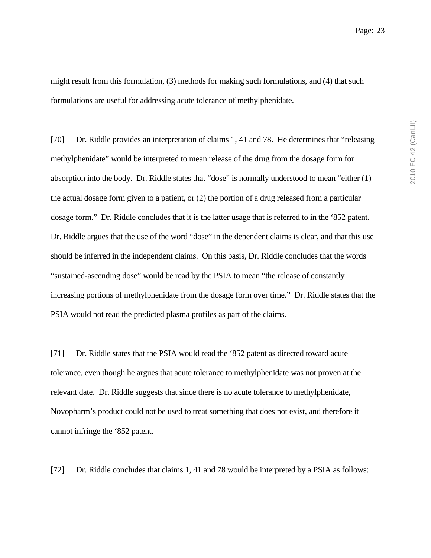might result from this formulation, (3) methods for making such formulations, and (4) that such formulations are useful for addressing acute tolerance of methylphenidate.

[70] Dr. Riddle provides an interpretation of claims 1, 41 and 78. He determines that "releasing" methylphenidate" would be interpreted to mean release of the drug from the dosage form for absorption into the body. Dr. Riddle states that "dose" is normally understood to mean "either (1) the actual dosage form given to a patient, or (2) the portion of a drug released from a particular dosage form." Dr. Riddle concludes that it is the latter usage that is referred to in the '852 patent. Dr. Riddle argues that the use of the word "dose" in the dependent claims is clear, and that this use should be inferred in the independent claims. On this basis, Dr. Riddle concludes that the words "sustained-ascending dose" would be read by the PSIA to mean "the release of constantly increasing portions of methylphenidate from the dosage form over time." Dr. Riddle states that the PSIA would not read the predicted plasma profiles as part of the claims.

[71] Dr. Riddle states that the PSIA would read the '852 patent as directed toward acute tolerance, even though he argues that acute tolerance to methylphenidate was not proven at the relevant date. Dr. Riddle suggests that since there is no acute tolerance to methylphenidate, Novopharm's product could not be used to treat something that does not exist, and therefore it cannot infringe the '852 patent.

[72] Dr. Riddle concludes that claims 1, 41 and 78 would be interpreted by a PSIA as follows: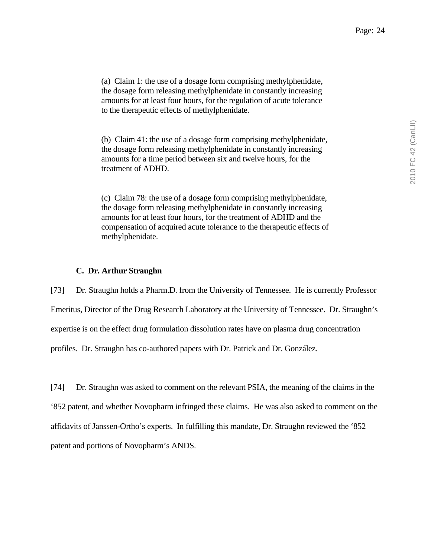(a) Claim 1: the use of a dosage form comprising methylphenidate, the dosage form releasing methylphenidate in constantly increasing amounts for at least four hours, for the regulation of acute tolerance to the therapeutic effects of methylphenidate.

(b) Claim 41: the use of a dosage form comprising methylphenidate, the dosage form releasing methylphenidate in constantly increasing amounts for a time period between six and twelve hours, for the treatment of ADHD.

(c) Claim 78: the use of a dosage form comprising methylphenidate, the dosage form releasing methylphenidate in constantly increasing amounts for at least four hours, for the treatment of ADHD and the compensation of acquired acute tolerance to the therapeutic effects of methylphenidate.

### **C. Dr. Arthur Straughn**

[73] Dr. Straughn holds a Pharm.D. from the University of Tennessee. He is currently Professor Emeritus, Director of the Drug Research Laboratory at the University of Tennessee. Dr. Straughn's expertise is on the effect drug formulation dissolution rates have on plasma drug concentration profiles. Dr. Straughn has co-authored papers with Dr. Patrick and Dr. González.

[74] Dr. Straughn was asked to comment on the relevant PSIA, the meaning of the claims in the '852 patent, and whether Novopharm infringed these claims. He was also asked to comment on the affidavits of Janssen-Ortho's experts. In fulfilling this mandate, Dr. Straughn reviewed the '852 patent and portions of Novopharm's ANDS.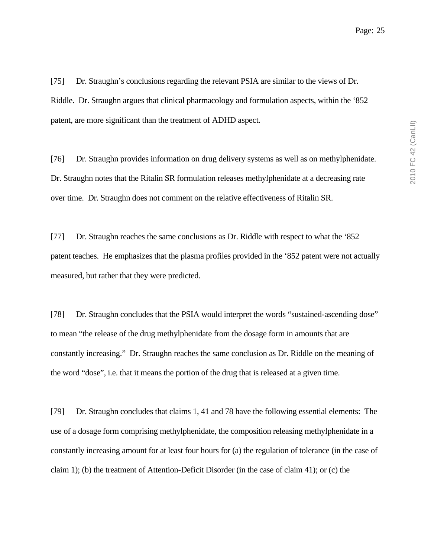[75] Dr. Straughn's conclusions regarding the relevant PSIA are similar to the views of Dr. Riddle. Dr. Straughn argues that clinical pharmacology and formulation aspects, within the '852 patent, are more significant than the treatment of ADHD aspect.

[76] Dr. Straughn provides information on drug delivery systems as well as on methylphenidate. Dr. Straughn notes that the Ritalin SR formulation releases methylphenidate at a decreasing rate over time. Dr. Straughn does not comment on the relative effectiveness of Ritalin SR.

[77] Dr. Straughn reaches the same conclusions as Dr. Riddle with respect to what the '852 patent teaches. He emphasizes that the plasma profiles provided in the '852 patent were not actually measured, but rather that they were predicted.

[78] Dr. Straughn concludes that the PSIA would interpret the words "sustained-ascending dose" to mean "the release of the drug methylphenidate from the dosage form in amounts that are constantly increasing." Dr. Straughn reaches the same conclusion as Dr. Riddle on the meaning of the word "dose", i.e. that it means the portion of the drug that is released at a given time.

[79] Dr. Straughn concludes that claims 1, 41 and 78 have the following essential elements: The use of a dosage form comprising methylphenidate, the composition releasing methylphenidate in a constantly increasing amount for at least four hours for (a) the regulation of tolerance (in the case of claim 1); (b) the treatment of Attention-Deficit Disorder (in the case of claim 41); or (c) the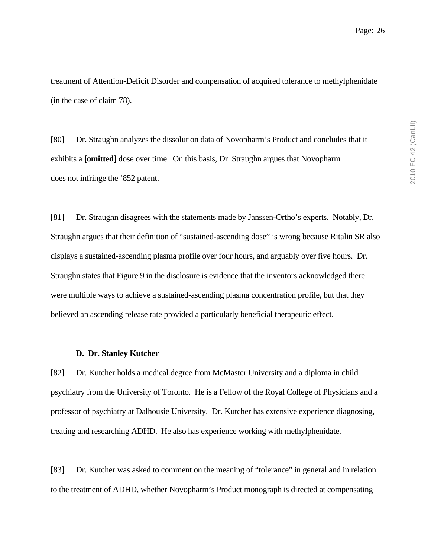treatment of Attention-Deficit Disorder and compensation of acquired tolerance to methylphenidate (in the case of claim 78).

[80] Dr. Straughn analyzes the dissolution data of Novopharm's Product and concludes that it exhibits a **[omitted]** dose over time. On this basis, Dr. Straughn argues that Novopharm does not infringe the '852 patent.

[81] Dr. Straughn disagrees with the statements made by Janssen-Ortho's experts. Notably, Dr. Straughn argues that their definition of "sustained-ascending dose" is wrong because Ritalin SR also displays a sustained-ascending plasma profile over four hours, and arguably over five hours. Dr. Straughn states that Figure 9 in the disclosure is evidence that the inventors acknowledged there were multiple ways to achieve a sustained-ascending plasma concentration profile, but that they believed an ascending release rate provided a particularly beneficial therapeutic effect.

#### **D. Dr. Stanley Kutcher**

[82] Dr. Kutcher holds a medical degree from McMaster University and a diploma in child psychiatry from the University of Toronto. He is a Fellow of the Royal College of Physicians and a professor of psychiatry at Dalhousie University. Dr. Kutcher has extensive experience diagnosing, treating and researching ADHD. He also has experience working with methylphenidate.

[83] Dr. Kutcher was asked to comment on the meaning of "tolerance" in general and in relation to the treatment of ADHD, whether Novopharm's Product monograph is directed at compensating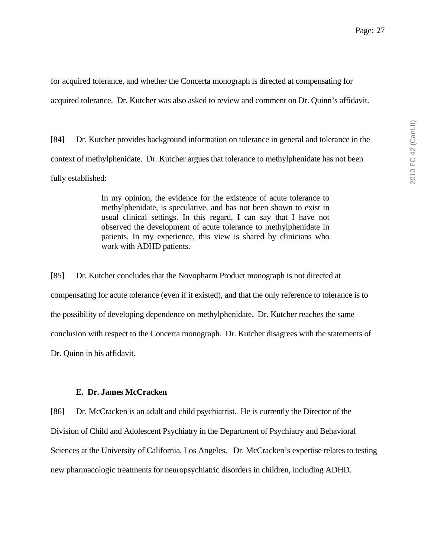for acquired tolerance, and whether the Concerta monograph is directed at compensating for acquired tolerance. Dr. Kutcher was also asked to review and comment on Dr. Quinn's affidavit.

[84] Dr. Kutcher provides background information on tolerance in general and tolerance in the context of methylphenidate. Dr. Kutcher argues that tolerance to methylphenidate has not been fully established:

> In my opinion, the evidence for the existence of acute tolerance to methylphenidate, is speculative, and has not been shown to exist in usual clinical settings. In this regard, I can say that I have not observed the development of acute tolerance to methylphenidate in patients. In my experience, this view is shared by clinicians who work with ADHD patients.

[85] Dr. Kutcher concludes that the Novopharm Product monograph is not directed at compensating for acute tolerance (even if it existed), and that the only reference to tolerance is to the possibility of developing dependence on methylphenidate. Dr. Kutcher reaches the same conclusion with respect to the Concerta monograph. Dr. Kutcher disagrees with the statements of Dr. Quinn in his affidavit.

#### **E. Dr. James McCracken**

[86] Dr. McCracken is an adult and child psychiatrist. He is currently the Director of the Division of Child and Adolescent Psychiatry in the Department of Psychiatry and Behavioral Sciences at the University of California, Los Angeles. Dr. McCracken's expertise relates to testing new pharmacologic treatments for neuropsychiatric disorders in children, including ADHD.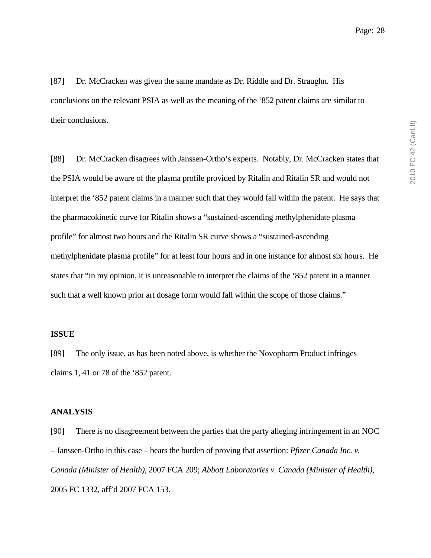[87] Dr. McCracken was given the same mandate as Dr. Riddle and Dr. Straughn. His conclusions on the relevant PSIA as well as the meaning of the '852 patent claims are similar to their conclusions.

[88] Dr. McCracken disagrees with Janssen-Ortho's experts. Notably, Dr. McCracken states that the PSIA would be aware of the plasma profile provided by Ritalin and Ritalin SR and would not interpret the '852 patent claims in a manner such that they would fall within the patent. He says that the pharmacokinetic curve for Ritalin shows a "sustained-ascending methylphenidate plasma profile" for almost two hours and the Ritalin SR curve shows a "sustained-ascending methylphenidate plasma profile" for at least four hours and in one instance for almost six hours. He states that "in my opinion, it is unreasonable to interpret the claims of the '852 patent in a manner such that a well known prior art dosage form would fall within the scope of those claims."

### **ISSUE**

[89] The only issue, as has been noted above, is whether the Novopharm Product infringes claims 1, 41 or 78 of the '852 patent.

#### **ANALYSIS**

[90] There is no disagreement between the parties that the party alleging infringement in an NOC – Janssen-Ortho in this case – bears the burden of proving that assertion: *Pfizer Canada Inc. v. Canada (Minister of Health)*, 2007 FCA 209; *Abbott Laboratories v. Canada (Minister of Health)*, 2005 FC 1332, aff'd 2007 FCA 153.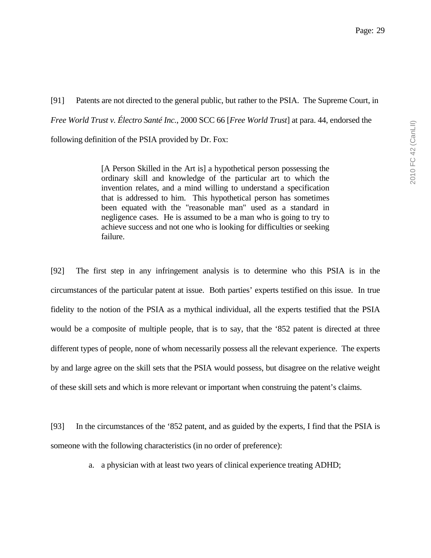[91] Patents are not directed to the general public, but rather to the PSIA. The Supreme Court, in *Free World Trust v. Électro Santé Inc.*, 2000 SCC 66 [*Free World Trust*] at para. 44, endorsed the following definition of the PSIA provided by Dr. Fox:

> [A Person Skilled in the Art is] a hypothetical person possessing the ordinary skill and knowledge of the particular art to which the invention relates, and a mind willing to understand a specification that is addressed to him. This hypothetical person has sometimes been equated with the "reasonable man" used as a standard in negligence cases. He is assumed to be a man who is going to try to achieve success and not one who is looking for difficulties or seeking failure.

[92] The first step in any infringement analysis is to determine who this PSIA is in the circumstances of the particular patent at issue. Both parties' experts testified on this issue. In true fidelity to the notion of the PSIA as a mythical individual, all the experts testified that the PSIA would be a composite of multiple people, that is to say, that the '852 patent is directed at three different types of people, none of whom necessarily possess all the relevant experience. The experts by and large agree on the skill sets that the PSIA would possess, but disagree on the relative weight of these skill sets and which is more relevant or important when construing the patent's claims.

[93] In the circumstances of the '852 patent, and as guided by the experts, I find that the PSIA is someone with the following characteristics (in no order of preference):

a. a physician with at least two years of clinical experience treating ADHD;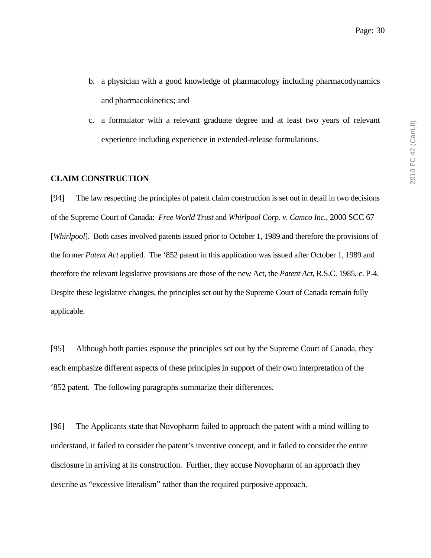- b. a physician with a good knowledge of pharmacology including pharmacodynamics and pharmacokinetics; and
- c. a formulator with a relevant graduate degree and at least two years of relevant experience including experience in extended-release formulations.

### **CLAIM CONSTRUCTION**

[94] The law respecting the principles of patent claim construction is set out in detail in two decisions of the Supreme Court of Canada: *Free World Trust* and *Whirlpool Corp. v. Camco Inc.*, 2000 SCC 67 [*Whirlpool*]. Both cases involved patents issued prior to October 1, 1989 and therefore the provisions of the former *Patent Act* applied. The '852 patent in this application was issued after October 1, 1989 and therefore the relevant legislative provisions are those of the new Act, the *Patent Act*, R.S.C. 1985, c. P-4. Despite these legislative changes, the principles set out by the Supreme Court of Canada remain fully applicable.

[95] Although both parties espouse the principles set out by the Supreme Court of Canada, they each emphasize different aspects of these principles in support of their own interpretation of the '852 patent. The following paragraphs summarize their differences.

[96] The Applicants state that Novopharm failed to approach the patent with a mind willing to understand, it failed to consider the patent's inventive concept, and it failed to consider the entire disclosure in arriving at its construction. Further, they accuse Novopharm of an approach they describe as "excessive literalism" rather than the required purposive approach.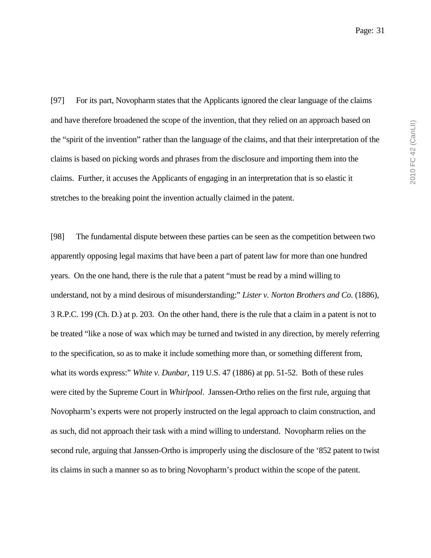[97] For its part, Novopharm states that the Applicants ignored the clear language of the claims and have therefore broadened the scope of the invention, that they relied on an approach based on the "spirit of the invention" rather than the language of the claims, and that their interpretation of the claims is based on picking words and phrases from the disclosure and importing them into the claims. Further, it accuses the Applicants of engaging in an interpretation that is so elastic it stretches to the breaking point the invention actually claimed in the patent.

[98] The fundamental dispute between these parties can be seen as the competition between two apparently opposing legal maxims that have been a part of patent law for more than one hundred years. On the one hand, there is the rule that a patent "must be read by a mind willing to understand, not by a mind desirous of misunderstanding:" *Lister v. Norton Brothers and Co.* (1886), 3 R.P.C. 199 (Ch. D.) at p. 203. On the other hand, there is the rule that a claim in a patent is not to be treated "like a nose of wax which may be turned and twisted in any direction, by merely referring to the specification, so as to make it include something more than, or something different from, what its words express:" *White v. Dunbar*, 119 U.S. 47 (1886) at pp. 51-52. Both of these rules were cited by the Supreme Court in *Whirlpool*. Janssen-Ortho relies on the first rule, arguing that Novopharm's experts were not properly instructed on the legal approach to claim construction, and as such, did not approach their task with a mind willing to understand. Novopharm relies on the second rule, arguing that Janssen-Ortho is improperly using the disclosure of the '852 patent to twist its claims in such a manner so as to bring Novopharm's product within the scope of the patent.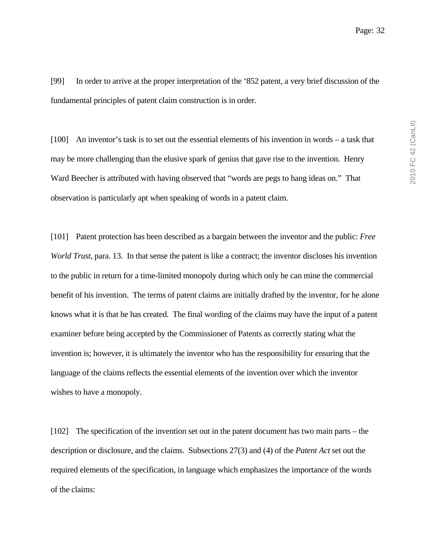[99] In order to arrive at the proper interpretation of the '852 patent, a very brief discussion of the fundamental principles of patent claim construction is in order.

[100] An inventor's task is to set out the essential elements of his invention in words – a task that may be more challenging than the elusive spark of genius that gave rise to the invention. Henry Ward Beecher is attributed with having observed that "words are pegs to hang ideas on." That observation is particularly apt when speaking of words in a patent claim.

[101] Patent protection has been described as a bargain between the inventor and the public: *Free World Trust*, para. 13. In that sense the patent is like a contract; the inventor discloses his invention to the public in return for a time-limited monopoly during which only he can mine the commercial benefit of his invention. The terms of patent claims are initially drafted by the inventor, for he alone knows what it is that he has created. The final wording of the claims may have the input of a patent examiner before being accepted by the Commissioner of Patents as correctly stating what the invention is; however, it is ultimately the inventor who has the responsibility for ensuring that the language of the claims reflects the essential elements of the invention over which the inventor wishes to have a monopoly.

[102] The specification of the invention set out in the patent document has two main parts – the description or disclosure, and the claims. Subsections 27(3) and (4) of the *Patent Act* set out the required elements of the specification, in language which emphasizes the importance of the words of the claims: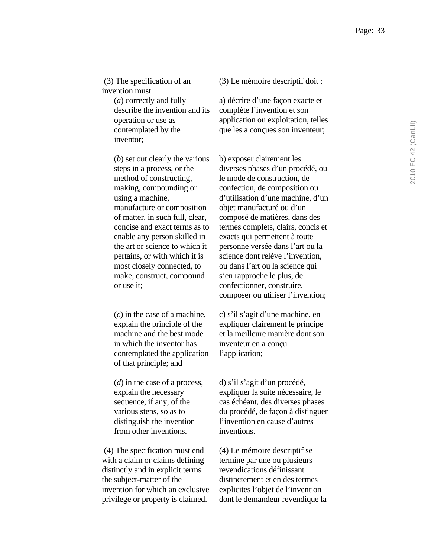(3) The specification of an invention must

> (*a*) correctly and fully describe the invention and its operation or use as contemplated by the inventor;

> (*b*) set out clearly the various steps in a process, or the method of constructing, making, compounding or using a machine, manufacture or composition of matter, in such full, clear, concise and exact terms as to enable any person skilled in the art or science to which it pertains, or with which it is most closely connected, to make, construct, compound or use it;

> (*c*) in the case of a machine, explain the principle of the machine and the best mode in which the inventor has contemplated the application of that principle; and

(*d*) in the case of a process, explain the necessary sequence, if any, of the various steps, so as to distinguish the invention from other inventions.

 (4) The specification must end with a claim or claims defining distinctly and in explicit terms the subject-matter of the invention for which an exclusive privilege or property is claimed.

(3) Le mémoire descriptif doit :

a) décrire d'une façon exacte et complète l'invention et son application ou exploitation, telles que les a conçues son inventeur;

b) exposer clairement les diverses phases d'un procédé, ou le mode de construction, de confection, de composition ou d'utilisation d'une machine, d'un objet manufacturé ou d'un composé de matières, dans des termes complets, clairs, concis et exacts qui permettent à toute personne versée dans l'art ou la science dont relève l'invention, ou dans l'art ou la science qui s'en rapproche le plus, de confectionner, construire, composer ou utiliser l'invention;

c) s'il s'agit d'une machine, en expliquer clairement le principe et la meilleure manière dont son inventeur en a conçu l'application;

d) s'il s'agit d'un procédé, expliquer la suite nécessaire, le cas échéant, des diverses phases du procédé, de façon à distinguer l'invention en cause d'autres inventions.

(4) Le mémoire descriptif se termine par une ou plusieurs revendications définissant distinctement et en des termes explicites l'objet de l'invention dont le demandeur revendique la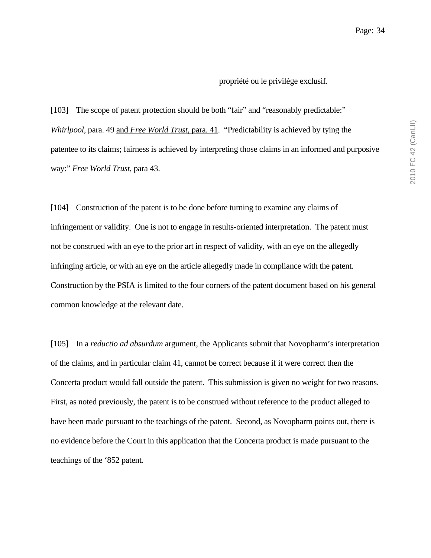#### propriété ou le privilège exclusif.

[103] The scope of patent protection should be both "fair" and "reasonably predictable:" *Whirlpool*, para. 49 and *Free World Trust*, para. 41. "Predictability is achieved by tying the patentee to its claims; fairness is achieved by interpreting those claims in an informed and purposive way:" *Free World Trust*, para 43.

[104] Construction of the patent is to be done before turning to examine any claims of infringement or validity. One is not to engage in results-oriented interpretation. The patent must not be construed with an eye to the prior art in respect of validity, with an eye on the allegedly infringing article, or with an eye on the article allegedly made in compliance with the patent. Construction by the PSIA is limited to the four corners of the patent document based on his general common knowledge at the relevant date.

[105] In a *reductio ad absurdum* argument, the Applicants submit that Novopharm's interpretation of the claims, and in particular claim 41, cannot be correct because if it were correct then the Concerta product would fall outside the patent. This submission is given no weight for two reasons. First, as noted previously, the patent is to be construed without reference to the product alleged to have been made pursuant to the teachings of the patent. Second, as Novopharm points out, there is no evidence before the Court in this application that the Concerta product is made pursuant to the teachings of the '852 patent.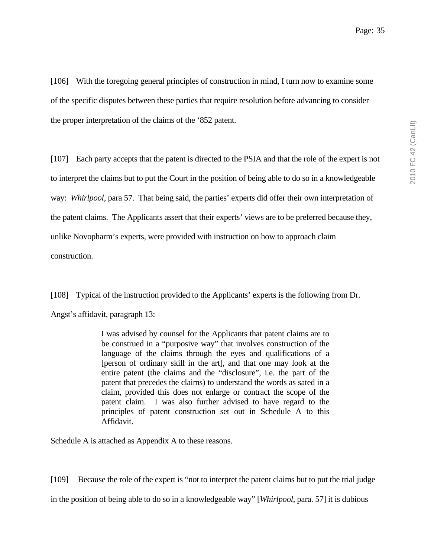[106] With the foregoing general principles of construction in mind, I turn now to examine some of the specific disputes between these parties that require resolution before advancing to consider the proper interpretation of the claims of the '852 patent.

[107] Each party accepts that the patent is directed to the PSIA and that the role of the expert is not to interpret the claims but to put the Court in the position of being able to do so in a knowledgeable way: *Whirlpool*, para 57. That being said, the parties' experts did offer their own interpretation of the patent claims. The Applicants assert that their experts' views are to be preferred because they, unlike Novopharm's experts, were provided with instruction on how to approach claim construction.

[108] Typical of the instruction provided to the Applicants' experts is the following from Dr. Angst's affidavit, paragraph 13:

> I was advised by counsel for the Applicants that patent claims are to be construed in a "purposive way" that involves construction of the language of the claims through the eyes and qualifications of a [person of ordinary skill in the art], and that one may look at the entire patent (the claims and the "disclosure", i.e. the part of the patent that precedes the claims) to understand the words as sated in a claim, provided this does not enlarge or contract the scope of the patent claim. I was also further advised to have regard to the principles of patent construction set out in Schedule A to this Affidavit.

Schedule A is attached as Appendix A to these reasons.

[109] Because the role of the expert is "not to interpret the patent claims but to put the trial judge in the position of being able to do so in a knowledgeable way" [*Whirlpool*, para. 57] it is dubious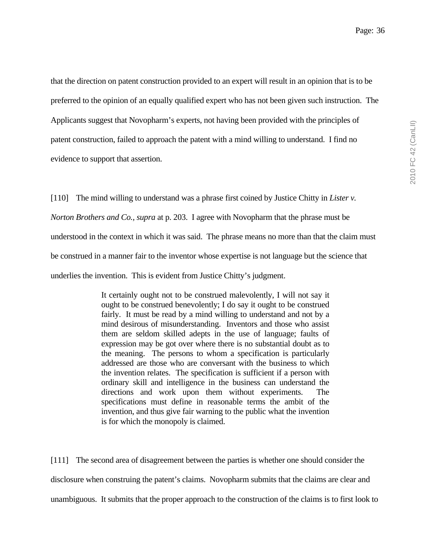that the direction on patent construction provided to an expert will result in an opinion that is to be preferred to the opinion of an equally qualified expert who has not been given such instruction. The Applicants suggest that Novopharm's experts, not having been provided with the principles of

patent construction, failed to approach the patent with a mind willing to understand. I find no evidence to support that assertion.

[110] The mind willing to understand was a phrase first coined by Justice Chitty in *Lister v. Norton Brothers and Co., supra* at p. 203. I agree with Novopharm that the phrase must be understood in the context in which it was said. The phrase means no more than that the claim must be construed in a manner fair to the inventor whose expertise is not language but the science that underlies the invention. This is evident from Justice Chitty's judgment.

> It certainly ought not to be construed malevolently, I will not say it ought to be construed benevolently; I do say it ought to be construed fairly. It must be read by a mind willing to understand and not by a mind desirous of misunderstanding. Inventors and those who assist them are seldom skilled adepts in the use of language; faults of expression may be got over where there is no substantial doubt as to the meaning. The persons to whom a specification is particularly addressed are those who are conversant with the business to which the invention relates. The specification is sufficient if a person with ordinary skill and intelligence in the business can understand the directions and work upon them without experiments. The specifications must define in reasonable terms the ambit of the invention, and thus give fair warning to the public what the invention is for which the monopoly is claimed.

[111] The second area of disagreement between the parties is whether one should consider the disclosure when construing the patent's claims. Novopharm submits that the claims are clear and unambiguous. It submits that the proper approach to the construction of the claims is to first look to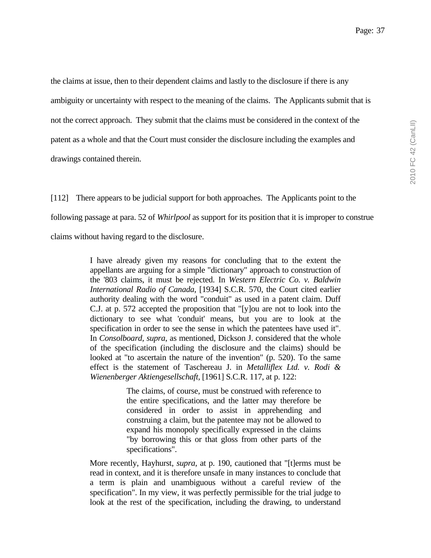the claims at issue, then to their dependent claims and lastly to the disclosure if there is any ambiguity or uncertainty with respect to the meaning of the claims. The Applicants submit that is not the correct approach. They submit that the claims must be considered in the context of the patent as a whole and that the Court must consider the disclosure including the examples and drawings contained therein.

[112] There appears to be judicial support for both approaches. The Applicants point to the following passage at para. 52 of *Whirlpool* as support for its position that it is improper to construe claims without having regard to the disclosure.

> I have already given my reasons for concluding that to the extent the appellants are arguing for a simple "dictionary" approach to construction of the '803 claims, it must be rejected. In *Western Electric Co. v. Baldwin International Radio of Canada*, [1934] S.C.R. 570, the Court cited earlier authority dealing with the word "conduit" as used in a patent claim. Duff C.J. at p. 572 accepted the proposition that "[y]ou are not to look into the dictionary to see what 'conduit' means, but you are to look at the specification in order to see the sense in which the patentees have used it". In *Consolboard, supra*, as mentioned, Dickson J. considered that the whole of the specification (including the disclosure and the claims) should be looked at "to ascertain the nature of the invention" (p. 520). To the same effect is the statement of Taschereau J. in *Metalliflex Ltd. v. Rodi & Wienenberger Aktiengesellschaft,* [1961] S.C.R. 117, at p. 122:

> > The claims, of course, must be construed with reference to the entire specifications, and the latter may therefore be considered in order to assist in apprehending and construing a claim, but the patentee may not be allowed to expand his monopoly specifically expressed in the claims "by borrowing this or that gloss from other parts of the specifications".

More recently, Hayhurst, *supra*, at p. 190, cautioned that "[t]erms must be read in context, and it is therefore unsafe in many instances to conclude that a term is plain and unambiguous without a careful review of the specification". In my view, it was perfectly permissible for the trial judge to look at the rest of the specification, including the drawing, to understand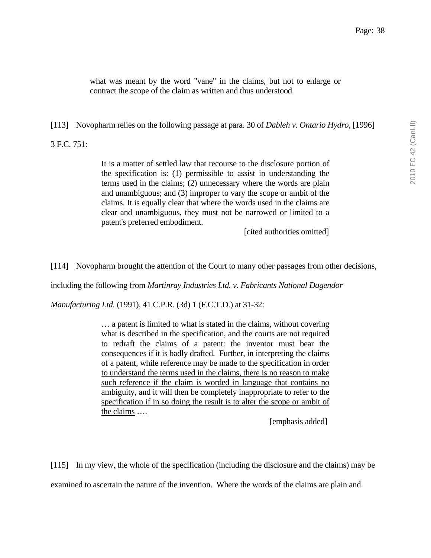what was meant by the word "vane" in the claims, but not to enlarge or contract the scope of the claim as written and thus understood.

[113] Novopharm relies on the following passage at para. 30 of *Dableh v. Ontario Hydro*, [1996]

3 F.C. 751:

It is a matter of settled law that recourse to the disclosure portion of the specification is: (1) permissible to assist in understanding the terms used in the claims; (2) unnecessary where the words are plain and unambiguous; and (3) improper to vary the scope or ambit of the claims. It is equally clear that where the words used in the claims are clear and unambiguous, they must not be narrowed or limited to a patent's preferred embodiment.

[cited authorities omitted]

[114] Novopharm brought the attention of the Court to many other passages from other decisions,

including the following from *Martinray Industries Ltd. v. Fabricants National Dagendor* 

*Manufacturing Ltd.* (1991), 41 C.P.R. (3d) 1 (F.C.T.D.) at 31-32:

… a patent is limited to what is stated in the claims, without covering what is described in the specification, and the courts are not required to redraft the claims of a patent: the inventor must bear the consequences if it is badly drafted. Further, in interpreting the claims of a patent, while reference may be made to the specification in order to understand the terms used in the claims, there is no reason to make such reference if the claim is worded in language that contains no ambiguity, and it will then be completely inappropriate to refer to the specification if in so doing the result is to alter the scope or ambit of the claims ….

[emphasis added]

[115] In my view, the whole of the specification (including the disclosure and the claims) may be examined to ascertain the nature of the invention. Where the words of the claims are plain and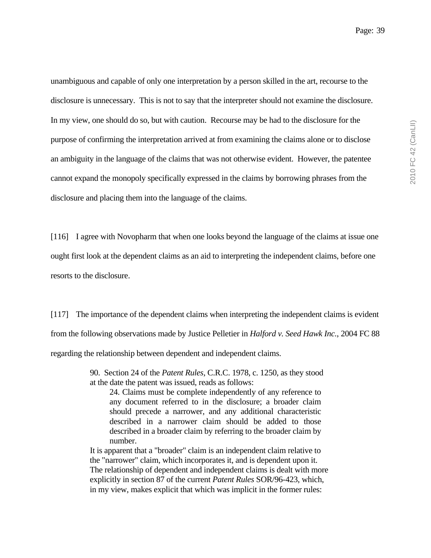unambiguous and capable of only one interpretation by a person skilled in the art, recourse to the disclosure is unnecessary. This is not to say that the interpreter should not examine the disclosure. In my view, one should do so, but with caution. Recourse may be had to the disclosure for the purpose of confirming the interpretation arrived at from examining the claims alone or to disclose an ambiguity in the language of the claims that was not otherwise evident. However, the patentee cannot expand the monopoly specifically expressed in the claims by borrowing phrases from the disclosure and placing them into the language of the claims.

[116] I agree with Novopharm that when one looks beyond the language of the claims at issue one ought first look at the dependent claims as an aid to interpreting the independent claims, before one resorts to the disclosure.

[117] The importance of the dependent claims when interpreting the independent claims is evident from the following observations made by Justice Pelletier in *Halford v. Seed Hawk Inc.*, 2004 FC 88 regarding the relationship between dependent and independent claims.

> 90. Section 24 of the *Patent Rules*, C.R.C. 1978, c. 1250, as they stood at the date the patent was issued, reads as follows:

24. Claims must be complete independently of any reference to any document referred to in the disclosure; a broader claim should precede a narrower, and any additional characteristic described in a narrower claim should be added to those described in a broader claim by referring to the broader claim by number.

It is apparent that a "broader" claim is an independent claim relative to the "narrower" claim, which incorporates it, and is dependent upon it. The relationship of dependent and independent claims is dealt with more explicitly in section 87 of the current *Patent Rules* SOR/96-423, which, in my view, makes explicit that which was implicit in the former rules: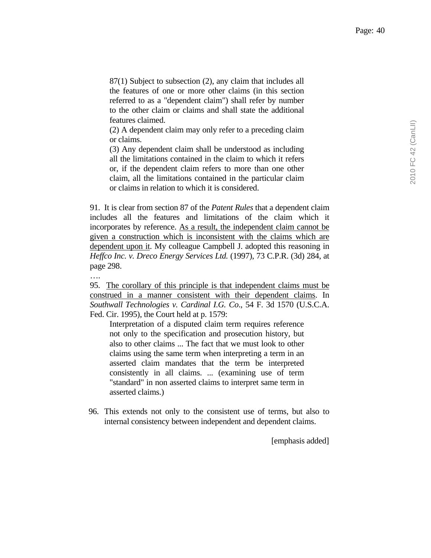87(1) Subject to subsection (2), any claim that includes all the features of one or more other claims (in this section referred to as a "dependent claim") shall refer by number to the other claim or claims and shall state the additional features claimed.

(2) A dependent claim may only refer to a preceding claim or claims.

(3) Any dependent claim shall be understood as including all the limitations contained in the claim to which it refers or, if the dependent claim refers to more than one other claim, all the limitations contained in the particular claim or claims in relation to which it is considered.

91. It is clear from section 87 of the *Patent Rules* that a dependent claim includes all the features and limitations of the claim which it incorporates by reference. As a result, the independent claim cannot be given a construction which is inconsistent with the claims which are dependent upon it. My colleague Campbell J. adopted this reasoning in *Heffco Inc. v. Dreco Energy Services Ltd.* (1997), 73 C.P.R. (3d) 284, at page 298.

95. The corollary of this principle is that independent claims must be construed in a manner consistent with their dependent claims. In *Southwall Technologies v. Cardinal I.G. Co*., 54 F. 3d 1570 (U.S.C.A. Fed. Cir. 1995), the Court held at p. 1579:

….

Interpretation of a disputed claim term requires reference not only to the specification and prosecution history, but also to other claims ... The fact that we must look to other claims using the same term when interpreting a term in an asserted claim mandates that the term be interpreted consistently in all claims. ... (examining use of term "standard" in non asserted claims to interpret same term in asserted claims.)

96. This extends not only to the consistent use of terms, but also to internal consistency between independent and dependent claims.

[emphasis added]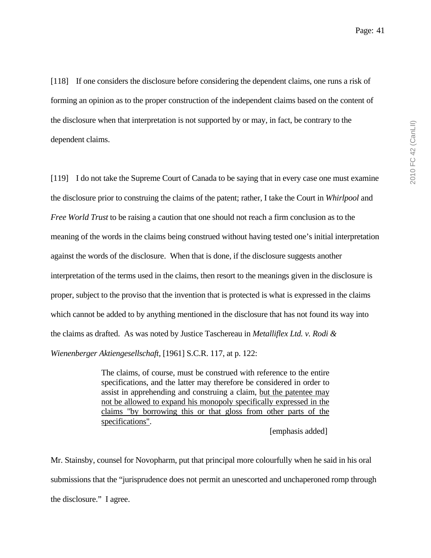[118] If one considers the disclosure before considering the dependent claims, one runs a risk of forming an opinion as to the proper construction of the independent claims based on the content of the disclosure when that interpretation is not supported by or may, in fact, be contrary to the dependent claims.

[119] I do not take the Supreme Court of Canada to be saying that in every case one must examine the disclosure prior to construing the claims of the patent; rather, I take the Court in *Whirlpool* and *Free World Trust* to be raising a caution that one should not reach a firm conclusion as to the meaning of the words in the claims being construed without having tested one's initial interpretation against the words of the disclosure. When that is done, if the disclosure suggests another interpretation of the terms used in the claims, then resort to the meanings given in the disclosure is proper, subject to the proviso that the invention that is protected is what is expressed in the claims which cannot be added to by anything mentioned in the disclosure that has not found its way into the claims as drafted. As was noted by Justice Taschereau in *Metalliflex Ltd. v. Rodi & Wienenberger Aktiengesellschaft*, [1961] S.C.R. 117, at p. 122:

> The claims, of course, must be construed with reference to the entire specifications, and the latter may therefore be considered in order to assist in apprehending and construing a claim, but the patentee may not be allowed to expand his monopoly specifically expressed in the claims "by borrowing this or that gloss from other parts of the specifications".

> > [emphasis added]

Mr. Stainsby, counsel for Novopharm, put that principal more colourfully when he said in his oral submissions that the "jurisprudence does not permit an unescorted and unchaperoned romp through the disclosure." I agree.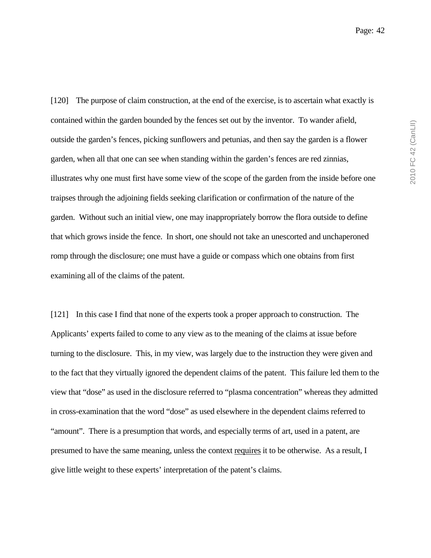[120] The purpose of claim construction, at the end of the exercise, is to ascertain what exactly is contained within the garden bounded by the fences set out by the inventor. To wander afield, outside the garden's fences, picking sunflowers and petunias, and then say the garden is a flower garden, when all that one can see when standing within the garden's fences are red zinnias, illustrates why one must first have some view of the scope of the garden from the inside before one traipses through the adjoining fields seeking clarification or confirmation of the nature of the garden. Without such an initial view, one may inappropriately borrow the flora outside to define that which grows inside the fence. In short, one should not take an unescorted and unchaperoned romp through the disclosure; one must have a guide or compass which one obtains from first examining all of the claims of the patent.

[121] In this case I find that none of the experts took a proper approach to construction. The Applicants' experts failed to come to any view as to the meaning of the claims at issue before turning to the disclosure. This, in my view, was largely due to the instruction they were given and to the fact that they virtually ignored the dependent claims of the patent. This failure led them to the view that "dose" as used in the disclosure referred to "plasma concentration" whereas they admitted in cross-examination that the word "dose" as used elsewhere in the dependent claims referred to "amount". There is a presumption that words, and especially terms of art, used in a patent, are presumed to have the same meaning, unless the context requires it to be otherwise. As a result, I give little weight to these experts' interpretation of the patent's claims.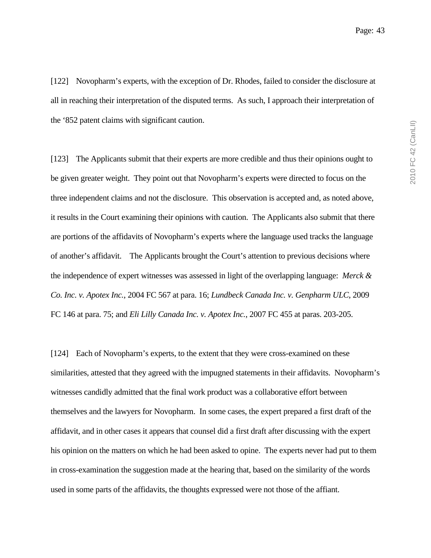[122] Novopharm's experts, with the exception of Dr. Rhodes, failed to consider the disclosure at all in reaching their interpretation of the disputed terms. As such, I approach their interpretation of the '852 patent claims with significant caution.

[123] The Applicants submit that their experts are more credible and thus their opinions ought to be given greater weight. They point out that Novopharm's experts were directed to focus on the three independent claims and not the disclosure. This observation is accepted and, as noted above, it results in the Court examining their opinions with caution. The Applicants also submit that there are portions of the affidavits of Novopharm's experts where the language used tracks the language of another's affidavit. The Applicants brought the Court's attention to previous decisions where the independence of expert witnesses was assessed in light of the overlapping language: *Merck & Co. Inc. v. Apotex Inc.*, 2004 FC 567 at para. 16; *Lundbeck Canada Inc. v. Genpharm ULC*, 2009 FC 146 at para. 75; and *Eli Lilly Canada Inc. v. Apotex Inc.*, 2007 FC 455 at paras. 203-205.

[124] Each of Novopharm's experts, to the extent that they were cross-examined on these similarities, attested that they agreed with the impugned statements in their affidavits. Novopharm's witnesses candidly admitted that the final work product was a collaborative effort between themselves and the lawyers for Novopharm. In some cases, the expert prepared a first draft of the affidavit, and in other cases it appears that counsel did a first draft after discussing with the expert his opinion on the matters on which he had been asked to opine. The experts never had put to them in cross-examination the suggestion made at the hearing that, based on the similarity of the words used in some parts of the affidavits, the thoughts expressed were not those of the affiant.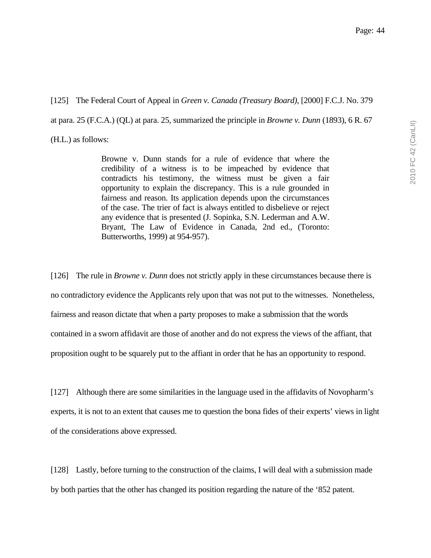[125] The Federal Court of Appeal in *Green v. Canada (Treasury Board)*, [2000] F.C.J. No. 379 at para. 25 (F.C.A.) (QL) at para. 25, summarized the principle in *Browne v. Dunn* (1893), 6 R. 67 (H.L.) as follows:

> Browne v. Dunn stands for a rule of evidence that where the credibility of a witness is to be impeached by evidence that contradicts his testimony, the witness must be given a fair opportunity to explain the discrepancy. This is a rule grounded in fairness and reason. Its application depends upon the circumstances of the case. The trier of fact is always entitled to disbelieve or reject any evidence that is presented (J. Sopinka, S.N. Lederman and A.W. Bryant, The Law of Evidence in Canada, 2nd ed., (Toronto: Butterworths, 1999) at 954-957).

[126] The rule in *Browne v. Dunn* does not strictly apply in these circumstances because there is no contradictory evidence the Applicants rely upon that was not put to the witnesses. Nonetheless, fairness and reason dictate that when a party proposes to make a submission that the words contained in a sworn affidavit are those of another and do not express the views of the affiant, that proposition ought to be squarely put to the affiant in order that he has an opportunity to respond.

[127] Although there are some similarities in the language used in the affidavits of Novopharm's experts, it is not to an extent that causes me to question the bona fides of their experts' views in light of the considerations above expressed.

[128] Lastly, before turning to the construction of the claims, I will deal with a submission made by both parties that the other has changed its position regarding the nature of the '852 patent.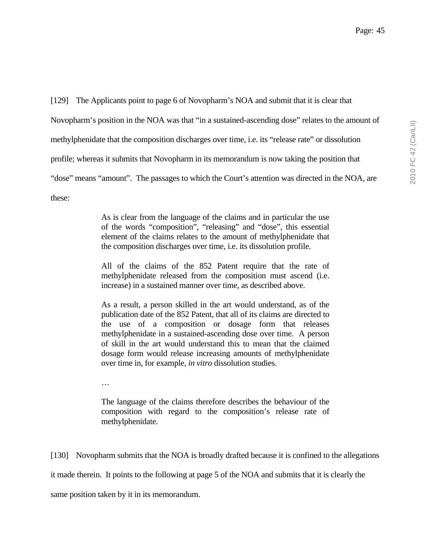[129] The Applicants point to page 6 of Novopharm's NOA and submit that it is clear that Novopharm's position in the NOA was that "in a sustained-ascending dose" relates to the amount of methylphenidate that the composition discharges over time, i.e. its "release rate" or dissolution profile; whereas it submits that Novopharm in its memorandum is now taking the position that "dose" means "amount". The passages to which the Court's attention was directed in the NOA, are these:

> As is clear from the language of the claims and in particular the use of the words "composition", "releasing" and "dose", this essential element of the claims relates to the amount of methylphenidate that the composition discharges over time, i.e. its dissolution profile.

> All of the claims of the 852 Patent require that the rate of methylphenidate released from the composition must ascend (i.e. increase) in a sustained manner over time, as described above.

> As a result, a person skilled in the art would understand, as of the publication date of the 852 Patent, that all of its claims are directed to the use of a composition or dosage form that releases methylphenidate in a sustained-ascending dose over time. A person of skill in the art would understand this to mean that the claimed dosage form would release increasing amounts of methylphenidate over time in, for example, *in vitro* dissolution studies.

…

The language of the claims therefore describes the behaviour of the composition with regard to the composition's release rate of methylphenidate.

[130] Novopharm submits that the NOA is broadly drafted because it is confined to the allegations it made therein. It points to the following at page 5 of the NOA and submits that it is clearly the same position taken by it in its memorandum.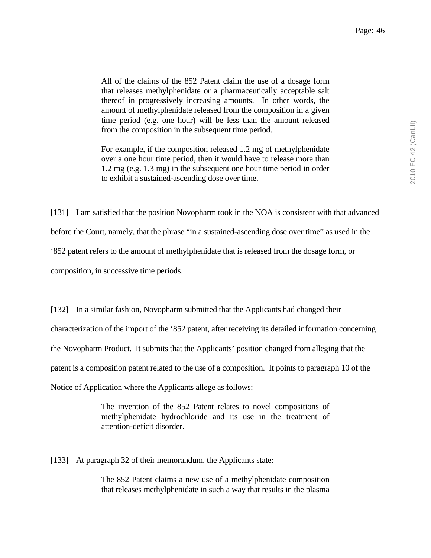Page: 46

All of the claims of the 852 Patent claim the use of a dosage form that releases methylphenidate or a pharmaceutically acceptable salt thereof in progressively increasing amounts. In other words, the amount of methylphenidate released from the composition in a given time period (e.g. one hour) will be less than the amount released from the composition in the subsequent time period.

For example, if the composition released 1.2 mg of methylphenidate over a one hour time period, then it would have to release more than 1.2 mg (e.g. 1.3 mg) in the subsequent one hour time period in order to exhibit a sustained-ascending dose over time.

[131] I am satisfied that the position Novopharm took in the NOA is consistent with that advanced

before the Court, namely, that the phrase "in a sustained-ascending dose over time" as used in the

'852 patent refers to the amount of methylphenidate that is released from the dosage form, or

composition, in successive time periods.

[132] In a similar fashion, Novopharm submitted that the Applicants had changed their characterization of the import of the '852 patent, after receiving its detailed information concerning the Novopharm Product. It submits that the Applicants' position changed from alleging that the patent is a composition patent related to the use of a composition. It points to paragraph 10 of the Notice of Application where the Applicants allege as follows:

> The invention of the 852 Patent relates to novel compositions of methylphenidate hydrochloride and its use in the treatment of attention-deficit disorder.

[133] At paragraph 32 of their memorandum, the Applicants state:

The 852 Patent claims a new use of a methylphenidate composition that releases methylphenidate in such a way that results in the plasma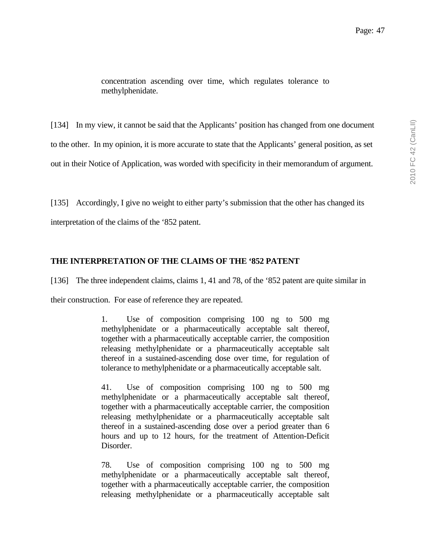concentration ascending over time, which regulates tolerance to methylphenidate.

[134] In my view, it cannot be said that the Applicants' position has changed from one document to the other. In my opinion, it is more accurate to state that the Applicants' general position, as set out in their Notice of Application, was worded with specificity in their memorandum of argument.

[135] Accordingly, I give no weight to either party's submission that the other has changed its

interpretation of the claims of the '852 patent.

# **THE INTERPRETATION OF THE CLAIMS OF THE '852 PATENT**

[136] The three independent claims, claims 1, 41 and 78, of the '852 patent are quite similar in

their construction. For ease of reference they are repeated.

1. Use of composition comprising 100 ng to 500 mg methylphenidate or a pharmaceutically acceptable salt thereof, together with a pharmaceutically acceptable carrier, the composition releasing methylphenidate or a pharmaceutically acceptable salt thereof in a sustained-ascending dose over time, for regulation of tolerance to methylphenidate or a pharmaceutically acceptable salt.

41. Use of composition comprising 100 ng to 500 mg methylphenidate or a pharmaceutically acceptable salt thereof, together with a pharmaceutically acceptable carrier, the composition releasing methylphenidate or a pharmaceutically acceptable salt thereof in a sustained-ascending dose over a period greater than 6 hours and up to 12 hours, for the treatment of Attention-Deficit Disorder.

78. Use of composition comprising 100 ng to 500 mg methylphenidate or a pharmaceutically acceptable salt thereof, together with a pharmaceutically acceptable carrier, the composition releasing methylphenidate or a pharmaceutically acceptable salt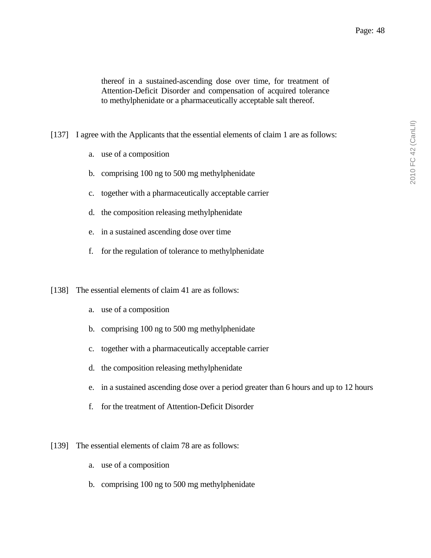thereof in a sustained-ascending dose over time, for treatment of Attention-Deficit Disorder and compensation of acquired tolerance to methylphenidate or a pharmaceutically acceptable salt thereof.

[137] I agree with the Applicants that the essential elements of claim 1 are as follows:

- a. use of a composition
- b. comprising 100 ng to 500 mg methylphenidate
- c. together with a pharmaceutically acceptable carrier
- d. the composition releasing methylphenidate
- e. in a sustained ascending dose over time
- f. for the regulation of tolerance to methylphenidate
- [138] The essential elements of claim 41 are as follows:
	- a. use of a composition
	- b. comprising 100 ng to 500 mg methylphenidate
	- c. together with a pharmaceutically acceptable carrier
	- d. the composition releasing methylphenidate
	- e. in a sustained ascending dose over a period greater than 6 hours and up to 12 hours
	- f. for the treatment of Attention-Deficit Disorder
- [139] The essential elements of claim 78 are as follows:
	- a. use of a composition
	- b. comprising 100 ng to 500 mg methylphenidate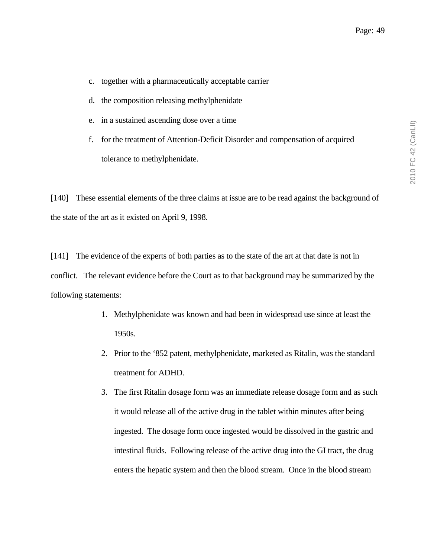- c. together with a pharmaceutically acceptable carrier
- d. the composition releasing methylphenidate
- e. in a sustained ascending dose over a time
- f. for the treatment of Attention-Deficit Disorder and compensation of acquired tolerance to methylphenidate.

[140] These essential elements of the three claims at issue are to be read against the background of the state of the art as it existed on April 9, 1998.

[141] The evidence of the experts of both parties as to the state of the art at that date is not in conflict. The relevant evidence before the Court as to that background may be summarized by the following statements:

- 1. Methylphenidate was known and had been in widespread use since at least the 1950s.
- 2. Prior to the '852 patent, methylphenidate, marketed as Ritalin, was the standard treatment for ADHD.
- 3. The first Ritalin dosage form was an immediate release dosage form and as such it would release all of the active drug in the tablet within minutes after being ingested. The dosage form once ingested would be dissolved in the gastric and intestinal fluids. Following release of the active drug into the GI tract, the drug enters the hepatic system and then the blood stream. Once in the blood stream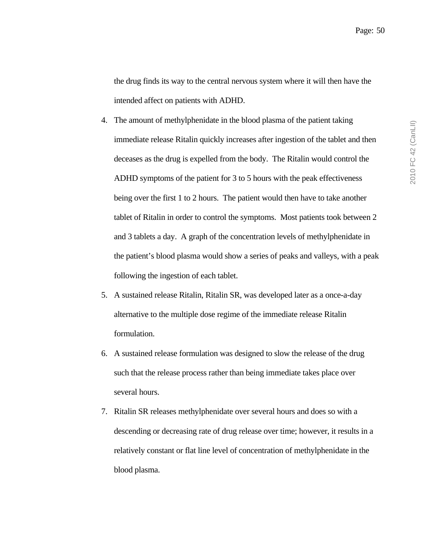the drug finds its way to the central nervous system where it will then have the intended affect on patients with ADHD.

- 4. The amount of methylphenidate in the blood plasma of the patient taking immediate release Ritalin quickly increases after ingestion of the tablet and then deceases as the drug is expelled from the body. The Ritalin would control the ADHD symptoms of the patient for 3 to 5 hours with the peak effectiveness being over the first 1 to 2 hours. The patient would then have to take another tablet of Ritalin in order to control the symptoms. Most patients took between 2 and 3 tablets a day. A graph of the concentration levels of methylphenidate in the patient's blood plasma would show a series of peaks and valleys, with a peak following the ingestion of each tablet.
- 5. A sustained release Ritalin, Ritalin SR, was developed later as a once-a-day alternative to the multiple dose regime of the immediate release Ritalin formulation.
- 6. A sustained release formulation was designed to slow the release of the drug such that the release process rather than being immediate takes place over several hours.
- 7. Ritalin SR releases methylphenidate over several hours and does so with a descending or decreasing rate of drug release over time; however, it results in a relatively constant or flat line level of concentration of methylphenidate in the blood plasma.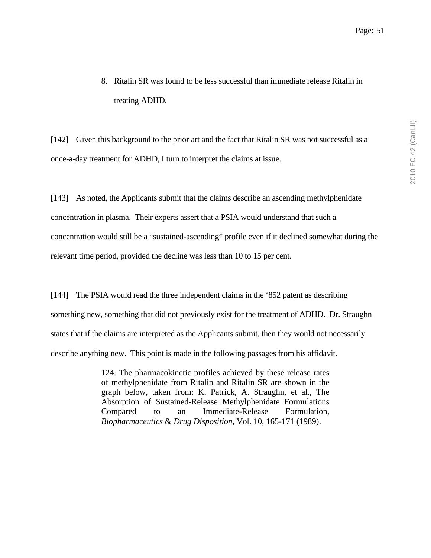8. Ritalin SR was found to be less successful than immediate release Ritalin in treating ADHD.

[142] Given this background to the prior art and the fact that Ritalin SR was not successful as a once-a-day treatment for ADHD, I turn to interpret the claims at issue.

[143] As noted, the Applicants submit that the claims describe an ascending methylphenidate concentration in plasma. Their experts assert that a PSIA would understand that such a concentration would still be a "sustained-ascending" profile even if it declined somewhat during the relevant time period, provided the decline was less than 10 to 15 per cent.

[144] The PSIA would read the three independent claims in the '852 patent as describing something new, something that did not previously exist for the treatment of ADHD. Dr. Straughn states that if the claims are interpreted as the Applicants submit, then they would not necessarily describe anything new. This point is made in the following passages from his affidavit.

> 124. The pharmacokinetic profiles achieved by these release rates of methylphenidate from Ritalin and Ritalin SR are shown in the graph below, taken from: K. Patrick, A. Straughn, et al., The Absorption of Sustained-Release Methylphenidate Formulations Compared to an Immediate-Release Formulation, *Biopharmaceutics* & *Drug Disposition,* Vol. 10, 165-171 (1989).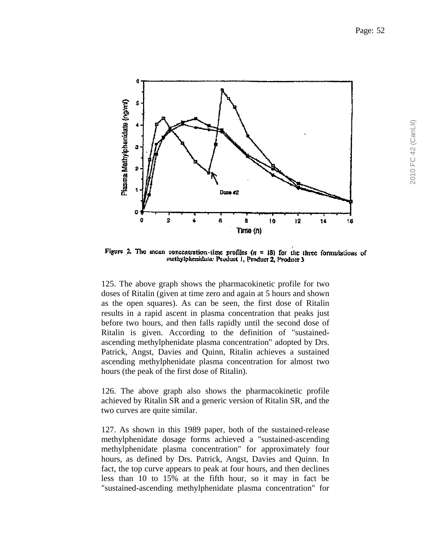

Figure 2. The incan concentration time profiles  $(n = 18)$  for the three formulations of methylphenidate: Product 1, Product 2, Product 3

125. The above graph shows the pharmacokinetic profile for two doses of Ritalin (given at time zero and again at 5 hours and shown as the open squares). As can be seen, the first dose of Ritalin results in a rapid ascent in plasma concentration that peaks just before two hours, and then falls rapidly until the second dose of Ritalin is given. According to the definition of "sustainedascending methylphenidate plasma concentration" adopted by Drs. Patrick, Angst, Davies and Quinn, Ritalin achieves a sustained ascending methylphenidate plasma concentration for almost two hours (the peak of the first dose of Ritalin).

126. The above graph also shows the pharmacokinetic profile achieved by Ritalin SR and a generic version of Ritalin SR, and the two curves are quite similar.

127. As shown in this 1989 paper, both of the sustained-release methylphenidate dosage forms achieved a "sustained-ascending methylphenidate plasma concentration" for approximately four hours, as defined by Drs. Patrick, Angst, Davies and Quinn. In fact, the top curve appears to peak at four hours, and then declines less than 10 to 15% at the fifth hour, so it may in fact be "sustained-ascending methylphenidate plasma concentration" for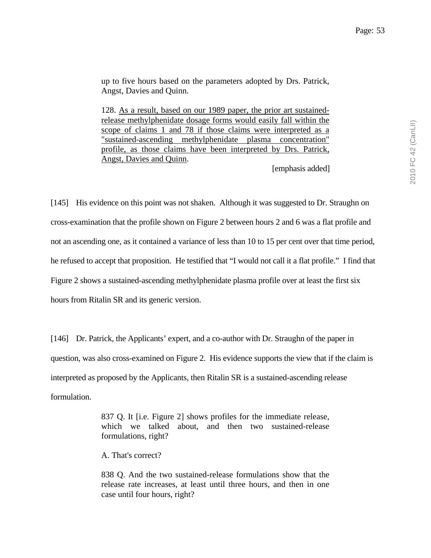up to five hours based on the parameters adopted by Drs. Patrick, Angst, Davies and Quinn.

128. As a result, based on our 1989 paper, the prior art sustainedrelease methylphenidate dosage forms would easily fall within the scope of claims 1 and 78 if those claims were interpreted as a "sustained-ascending methylphenidate plasma concentration" profile, as those claims have been interpreted by Drs. Patrick, Angst, Davies and Quinn.

[emphasis added]

[145] His evidence on this point was not shaken. Although it was suggested to Dr. Straughn on cross-examination that the profile shown on Figure 2 between hours 2 and 6 was a flat profile and not an ascending one, as it contained a variance of less than 10 to 15 per cent over that time period, he refused to accept that proposition. He testified that "I would not call it a flat profile." I find that Figure 2 shows a sustained-ascending methylphenidate plasma profile over at least the first six hours from Ritalin SR and its generic version.

[146] Dr. Patrick, the Applicants' expert, and a co-author with Dr. Straughn of the paper in question, was also cross-examined on Figure 2. His evidence supports the view that if the claim is interpreted as proposed by the Applicants, then Ritalin SR is a sustained-ascending release formulation.

> 837 Q. It [i.e. Figure 2] shows profiles for the immediate release, which we talked about, and then two sustained-release formulations, right?

A. That's correct?

838 Q. And the two sustained-release formulations show that the release rate increases, at least until three hours, and then in one case until four hours, right?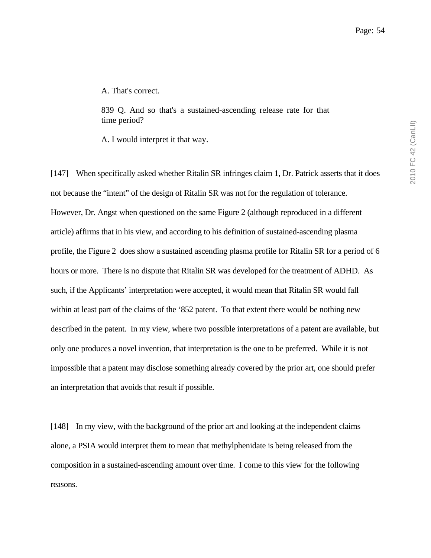A. That's correct.

839 Q. And so that's a sustained-ascending release rate for that time period?

A. I would interpret it that way.

[147] When specifically asked whether Ritalin SR infringes claim 1, Dr. Patrick asserts that it does not because the "intent" of the design of Ritalin SR was not for the regulation of tolerance. However, Dr. Angst when questioned on the same Figure 2 (although reproduced in a different article) affirms that in his view, and according to his definition of sustained-ascending plasma profile, the Figure 2 does show a sustained ascending plasma profile for Ritalin SR for a period of 6 hours or more. There is no dispute that Ritalin SR was developed for the treatment of ADHD. As such, if the Applicants' interpretation were accepted, it would mean that Ritalin SR would fall within at least part of the claims of the '852 patent. To that extent there would be nothing new described in the patent. In my view, where two possible interpretations of a patent are available, but only one produces a novel invention, that interpretation is the one to be preferred. While it is not impossible that a patent may disclose something already covered by the prior art, one should prefer an interpretation that avoids that result if possible.

[148] In my view, with the background of the prior art and looking at the independent claims alone, a PSIA would interpret them to mean that methylphenidate is being released from the composition in a sustained-ascending amount over time. I come to this view for the following reasons.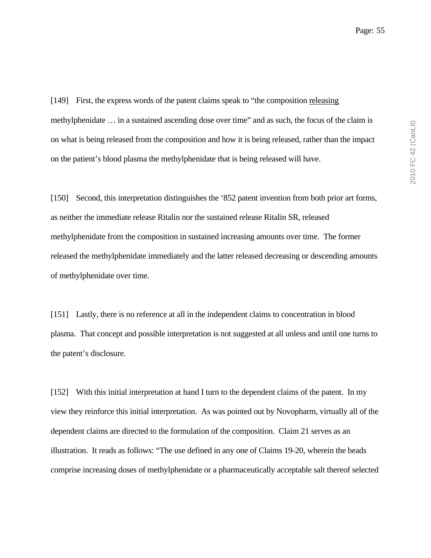[149] First, the express words of the patent claims speak to "the composition releasing methylphenidate … in a sustained ascending dose over time" and as such, the focus of the claim is on what is being released from the composition and how it is being released, rather than the impact on the patient's blood plasma the methylphenidate that is being released will have.

[150] Second, this interpretation distinguishes the '852 patent invention from both prior art forms, as neither the immediate release Ritalin nor the sustained release Ritalin SR, released methylphenidate from the composition in sustained increasing amounts over time. The former released the methylphenidate immediately and the latter released decreasing or descending amounts of methylphenidate over time.

[151] Lastly, there is no reference at all in the independent claims to concentration in blood plasma. That concept and possible interpretation is not suggested at all unless and until one turns to the patent's disclosure.

[152] With this initial interpretation at hand I turn to the dependent claims of the patent. In my view they reinforce this initial interpretation. As was pointed out by Novopharm, virtually all of the dependent claims are directed to the formulation of the composition. Claim 21 serves as an illustration. It reads as follows: "The use defined in any one of Claims 19-20, wherein the beads comprise increasing doses of methylphenidate or a pharmaceutically acceptable salt thereof selected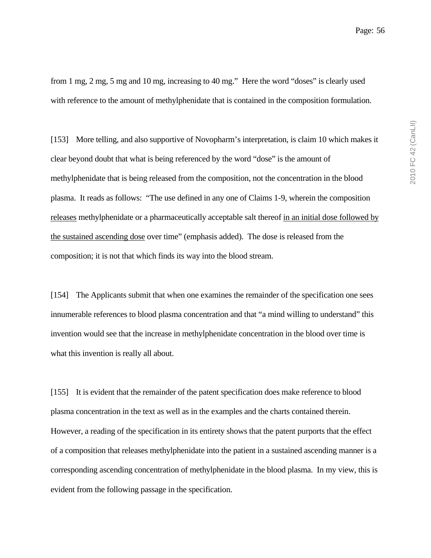from 1 mg, 2 mg, 5 mg and 10 mg, increasing to 40 mg." Here the word "doses" is clearly used with reference to the amount of methylphenidate that is contained in the composition formulation.

[153] More telling, and also supportive of Novopharm's interpretation, is claim 10 which makes it clear beyond doubt that what is being referenced by the word "dose" is the amount of methylphenidate that is being released from the composition, not the concentration in the blood plasma. It reads as follows: "The use defined in any one of Claims 1-9, wherein the composition releases methylphenidate or a pharmaceutically acceptable salt thereof in an initial dose followed by the sustained ascending dose over time" (emphasis added). The dose is released from the composition; it is not that which finds its way into the blood stream.

[154] The Applicants submit that when one examines the remainder of the specification one sees innumerable references to blood plasma concentration and that "a mind willing to understand" this invention would see that the increase in methylphenidate concentration in the blood over time is what this invention is really all about.

[155] It is evident that the remainder of the patent specification does make reference to blood plasma concentration in the text as well as in the examples and the charts contained therein. However, a reading of the specification in its entirety shows that the patent purports that the effect of a composition that releases methylphenidate into the patient in a sustained ascending manner is a corresponding ascending concentration of methylphenidate in the blood plasma. In my view, this is evident from the following passage in the specification.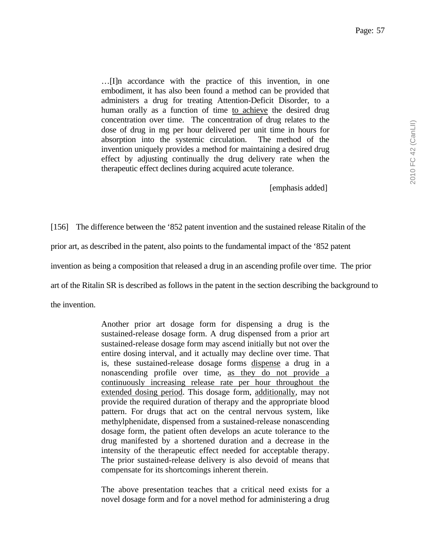…[I]n accordance with the practice of this invention, in one embodiment, it has also been found a method can be provided that administers a drug for treating Attention-Deficit Disorder, to a human orally as a function of time to achieve the desired drug concentration over time. The concentration of drug relates to the dose of drug in mg per hour delivered per unit time in hours for absorption into the systemic circulation. The method of the invention uniquely provides a method for maintaining a desired drug effect by adjusting continually the drug delivery rate when the therapeutic effect declines during acquired acute tolerance.

[emphasis added]

[156] The difference between the '852 patent invention and the sustained release Ritalin of the prior art, as described in the patent, also points to the fundamental impact of the '852 patent invention as being a composition that released a drug in an ascending profile over time. The prior

art of the Ritalin SR is described as follows in the patent in the section describing the background to

the invention.

Another prior art dosage form for dispensing a drug is the sustained-release dosage form. A drug dispensed from a prior art sustained-release dosage form may ascend initially but not over the entire dosing interval, and it actually may decline over time. That is, these sustained-release dosage forms dispense a drug in a nonascending profile over time, as they do not provide a continuously increasing release rate per hour throughout the extended dosing period. This dosage form, additionally, may not provide the required duration of therapy and the appropriate blood pattern. For drugs that act on the central nervous system, like methylphenidate, dispensed from a sustained-release nonascending dosage form, the patient often develops an acute tolerance to the drug manifested by a shortened duration and a decrease in the intensity of the therapeutic effect needed for acceptable therapy. The prior sustained-release delivery is also devoid of means that compensate for its shortcomings inherent therein.

The above presentation teaches that a critical need exists for a novel dosage form and for a novel method for administering a drug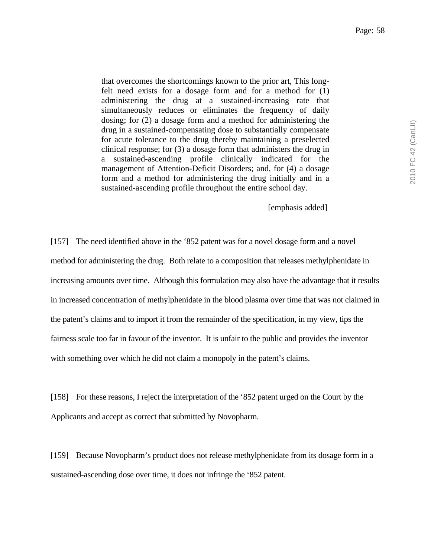that overcomes the shortcomings known to the prior art, This longfelt need exists for a dosage form and for a method for (1) administering the drug at a sustained-increasing rate that simultaneously reduces or eliminates the frequency of daily dosing; for (2) a dosage form and a method for administering the drug in a sustained-compensating dose to substantially compensate for acute tolerance to the drug thereby maintaining a preselected clinical response; for (3) a dosage form that administers the drug in a sustained-ascending profile clinically indicated for the management of Attention-Deficit Disorders; and, for (4) a dosage form and a method for administering the drug initially and in a sustained-ascending profile throughout the entire school day.

#### [emphasis added]

[157] The need identified above in the '852 patent was for a novel dosage form and a novel method for administering the drug. Both relate to a composition that releases methylphenidate in increasing amounts over time. Although this formulation may also have the advantage that it results in increased concentration of methylphenidate in the blood plasma over time that was not claimed in the patent's claims and to import it from the remainder of the specification, in my view, tips the fairness scale too far in favour of the inventor. It is unfair to the public and provides the inventor with something over which he did not claim a monopoly in the patent's claims.

[158] For these reasons, I reject the interpretation of the '852 patent urged on the Court by the Applicants and accept as correct that submitted by Novopharm.

[159] Because Novopharm's product does not release methylphenidate from its dosage form in a sustained-ascending dose over time, it does not infringe the '852 patent.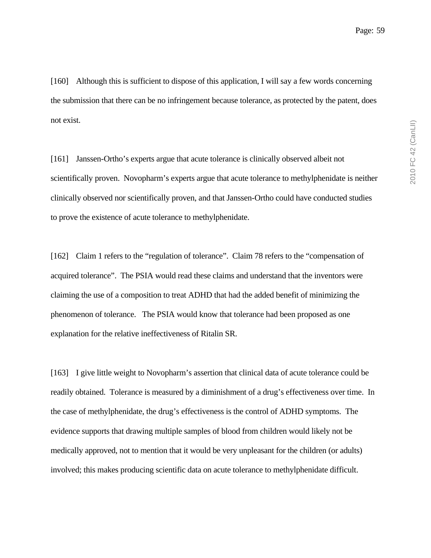[160] Although this is sufficient to dispose of this application, I will say a few words concerning the submission that there can be no infringement because tolerance, as protected by the patent, does not exist.

[161] Janssen-Ortho's experts argue that acute tolerance is clinically observed albeit not scientifically proven. Novopharm's experts argue that acute tolerance to methylphenidate is neither clinically observed nor scientifically proven, and that Janssen-Ortho could have conducted studies to prove the existence of acute tolerance to methylphenidate.

[162] Claim 1 refers to the "regulation of tolerance". Claim 78 refers to the "compensation of acquired tolerance". The PSIA would read these claims and understand that the inventors were claiming the use of a composition to treat ADHD that had the added benefit of minimizing the phenomenon of tolerance. The PSIA would know that tolerance had been proposed as one explanation for the relative ineffectiveness of Ritalin SR.

[163] I give little weight to Novopharm's assertion that clinical data of acute tolerance could be readily obtained. Tolerance is measured by a diminishment of a drug's effectiveness over time. In the case of methylphenidate, the drug's effectiveness is the control of ADHD symptoms. The evidence supports that drawing multiple samples of blood from children would likely not be medically approved, not to mention that it would be very unpleasant for the children (or adults) involved; this makes producing scientific data on acute tolerance to methylphenidate difficult.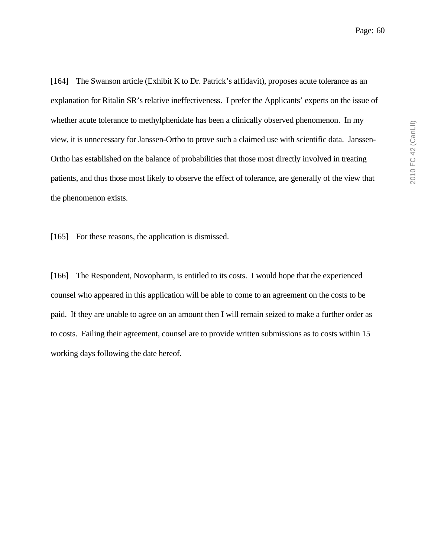[164] The Swanson article (Exhibit K to Dr. Patrick's affidavit), proposes acute tolerance as an explanation for Ritalin SR's relative ineffectiveness. I prefer the Applicants' experts on the issue of whether acute tolerance to methylphenidate has been a clinically observed phenomenon. In my view, it is unnecessary for Janssen-Ortho to prove such a claimed use with scientific data. Janssen-Ortho has established on the balance of probabilities that those most directly involved in treating patients, and thus those most likely to observe the effect of tolerance, are generally of the view that the phenomenon exists.

[165] For these reasons, the application is dismissed.

[166] The Respondent, Novopharm, is entitled to its costs. I would hope that the experienced counsel who appeared in this application will be able to come to an agreement on the costs to be paid. If they are unable to agree on an amount then I will remain seized to make a further order as to costs. Failing their agreement, counsel are to provide written submissions as to costs within 15 working days following the date hereof.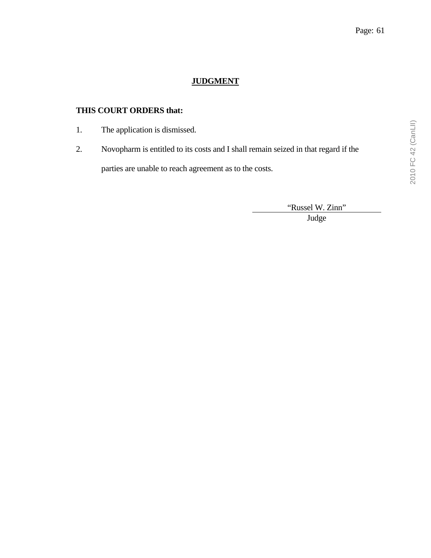# **JUDGMENT**

# **THIS COURT ORDERS that:**

- 1. The application is dismissed.
- 2. Novopharm is entitled to its costs and I shall remain seized in that regard if the parties are unable to reach agreement as to the costs.

"Russel W. Zinn"

Judge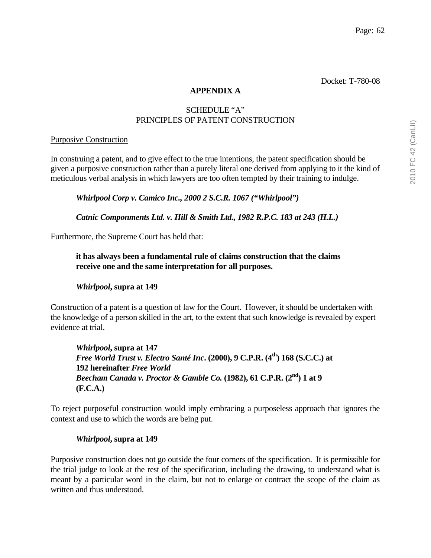# **APPENDIX A**

# SCHEDULE "A" PRINCIPLES OF PATENT CONSTRUCTION

# Purposive Construction

In construing a patent, and to give effect to the true intentions, the patent specification should be given a purposive construction rather than a purely literal one derived from applying to it the kind of meticulous verbal analysis in which lawyers are too often tempted by their training to indulge.

*Whirlpool Corp v. Camico Inc., 2000 2 S.C.R. 1067 ("Whirlpool")* 

 *Catnic Componments Ltd. v. Hill & Smith Ltd., 1982 R.P.C. 183 at 243 (H.L.)* 

Furthermore, the Supreme Court has held that:

**it has always been a fundamental rule of claims construction that the claims receive one and the same interpretation for all purposes.** 

# *Whirlpool***, supra at 149**

Construction of a patent is a question of law for the Court. However, it should be undertaken with the knowledge of a person skilled in the art, to the extent that such knowledge is revealed by expert evidence at trial.

*Whirlpool***, supra at 147**  *Free World Trust v. Electro Santé Inc.* (2000), 9 C.P.R. (4<sup>th</sup>) 168 (S.C.C.) at **192 hereinafter** *Free World Beecham Canada v. Proctor & Gamble Co.* **(1982), 61 C.P.R. (2nd) 1 at 9 (F.C.A.)**

To reject purposeful construction would imply embracing a purposeless approach that ignores the context and use to which the words are being put.

# *Whirlpool***, supra at 149**

Purposive construction does not go outside the four corners of the specification. It is permissible for the trial judge to look at the rest of the specification, including the drawing, to understand what is meant by a particular word in the claim, but not to enlarge or contract the scope of the claim as written and thus understood.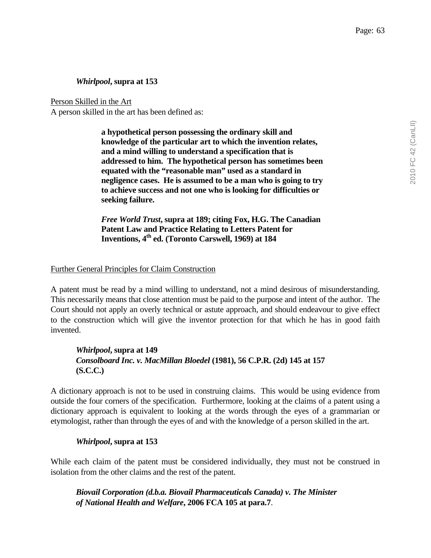## *Whirlpool***, supra at 153**

Person Skilled in the Art

A person skilled in the art has been defined as:

**a hypothetical person possessing the ordinary skill and knowledge of the particular art to which the invention relates, and a mind willing to understand a specification that is addressed to him. The hypothetical person has sometimes been equated with the "reasonable man" used as a standard in negligence cases. He is assumed to be a man who is going to try to achieve success and not one who is looking for difficulties or seeking failure.** 

*Free World Trust***, supra at 189; citing Fox, H.G. The Canadian Patent Law and Practice Relating to Letters Patent for Inventions, 4th ed. (Toronto Carswell, 1969) at 184**

## Further General Principles for Claim Construction

A patent must be read by a mind willing to understand, not a mind desirous of misunderstanding. This necessarily means that close attention must be paid to the purpose and intent of the author. The Court should not apply an overly technical or astute approach, and should endeavour to give effect to the construction which will give the inventor protection for that which he has in good faith invented.

# *Whirlpool***, supra at 149**  *Consolboard Inc. v. MacMillan Bloedel* **(1981), 56 C.P.R. (2d) 145 at 157 (S.C.C.)**

A dictionary approach is not to be used in construing claims. This would be using evidence from outside the four corners of the specification. Furthermore, looking at the claims of a patent using a dictionary approach is equivalent to looking at the words through the eyes of a grammarian or etymologist, rather than through the eyes of and with the knowledge of a person skilled in the art.

## *Whirlpool***, supra at 153**

While each claim of the patent must be considered individually, they must not be construed in isolation from the other claims and the rest of the patent.

*Biovail Corporation (d.b.a. Biovail Pharmaceuticals Canada) v. The Minister of National Health and Welfare***, 2006 FCA 105 at para.7**.